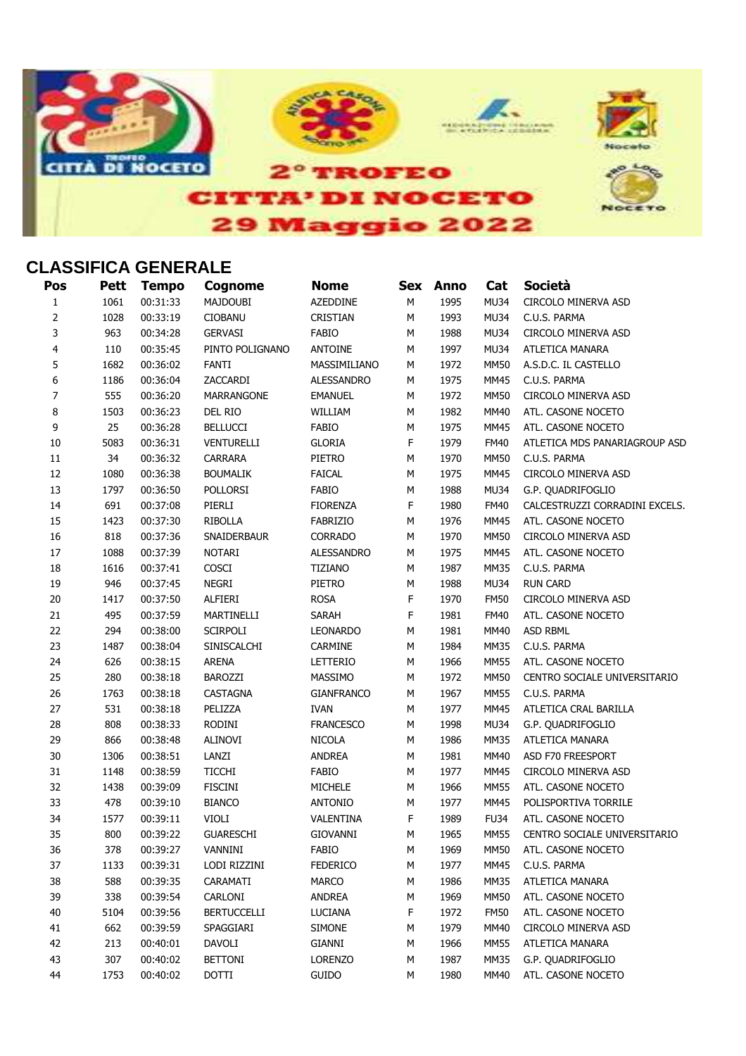

## **CLASSIFICA GENERALE**

| Pos            | Pett | <b>Tempo</b> | Cognome            | <b>Nome</b>       |   | Sex Anno | Cat         | <b>Società</b>                 |
|----------------|------|--------------|--------------------|-------------------|---|----------|-------------|--------------------------------|
| $\mathbf{1}$   | 1061 | 00:31:33     | <b>MAJDOUBI</b>    | <b>AZEDDINE</b>   | M | 1995     | <b>MU34</b> | CIRCOLO MINERVA ASD            |
| $\overline{2}$ | 1028 | 00:33:19     | <b>CIOBANU</b>     | <b>CRISTIAN</b>   | M | 1993     | <b>MU34</b> | C.U.S. PARMA                   |
| 3              | 963  | 00:34:28     | <b>GERVASI</b>     | <b>FABIO</b>      | M | 1988     | <b>MU34</b> | CIRCOLO MINERVA ASD            |
| 4              | 110  | 00:35:45     | PINTO POLIGNANO    | <b>ANTOINE</b>    | M | 1997     | <b>MU34</b> | ATLETICA MANARA                |
| 5              | 1682 | 00:36:02     | <b>FANTI</b>       | MASSIMILIANO      | М | 1972     | <b>MM50</b> | A.S.D.C. IL CASTELLO           |
| 6              | 1186 | 00:36:04     | ZACCARDI           | <b>ALESSANDRO</b> | М | 1975     | <b>MM45</b> | C.U.S. PARMA                   |
| 7              | 555  | 00:36:20     | MARRANGONE         | <b>EMANUEL</b>    | M | 1972     | <b>MM50</b> | CIRCOLO MINERVA ASD            |
| 8              | 1503 | 00:36:23     | DEL RIO            | WILLIAM           | М | 1982     | MM40        | ATL. CASONE NOCETO             |
| 9              | 25   | 00:36:28     | <b>BELLUCCI</b>    | FABIO             | М | 1975     | <b>MM45</b> | ATL. CASONE NOCETO             |
| 10             | 5083 | 00:36:31     | VENTURELLI         | <b>GLORIA</b>     | F | 1979     | <b>FM40</b> | ATLETICA MDS PANARIAGROUP ASD  |
| 11             | 34   | 00:36:32     | <b>CARRARA</b>     | PIETRO            | M | 1970     | <b>MM50</b> | C.U.S. PARMA                   |
| 12             | 1080 | 00:36:38     | <b>BOUMALIK</b>    | <b>FAICAL</b>     | M | 1975     | <b>MM45</b> | CIRCOLO MINERVA ASD            |
| 13             | 1797 | 00:36:50     | POLLORSI           | <b>FABIO</b>      | M | 1988     | <b>MU34</b> | G.P. QUADRIFOGLIO              |
| 14             | 691  | 00:37:08     | PIERLI             | <b>FIORENZA</b>   | F | 1980     | <b>FM40</b> | CALCESTRUZZI CORRADINI EXCELS. |
| 15             | 1423 | 00:37:30     | <b>RIBOLLA</b>     | FABRIZIO          | M | 1976     | MM45        | ATL. CASONE NOCETO             |
| 16             | 818  | 00:37:36     | SNAIDERBAUR        | <b>CORRADO</b>    | M | 1970     | <b>MM50</b> | CIRCOLO MINERVA ASD            |
| 17             | 1088 | 00:37:39     | <b>NOTARI</b>      | <b>ALESSANDRO</b> | M | 1975     | MM45        | ATL. CASONE NOCETO             |
| 18             | 1616 | 00:37:41     | COSCI              | <b>TIZIANO</b>    | M | 1987     | <b>MM35</b> | C.U.S. PARMA                   |
| 19             | 946  | 00:37:45     | NEGRI              | PIETRO            | М | 1988     | <b>MU34</b> | <b>RUN CARD</b>                |
| 20             | 1417 | 00:37:50     | ALFIERI            | <b>ROSA</b>       | F | 1970     | <b>FM50</b> | CIRCOLO MINERVA ASD            |
| 21             | 495  | 00:37:59     | MARTINELLI         | SARAH             | F | 1981     | <b>FM40</b> | ATL. CASONE NOCETO             |
| 22             | 294  | 00:38:00     | <b>SCIRPOLI</b>    | LEONARDO          | M | 1981     | MM40        | ASD RBML                       |
| 23             | 1487 | 00:38:04     | SINISCALCHI        | CARMINE           | M | 1984     | <b>MM35</b> | C.U.S. PARMA                   |
| 24             | 626  | 00:38:15     | ARENA              | LETTERIO          | M | 1966     | <b>MM55</b> | ATL. CASONE NOCETO             |
| 25             | 280  | 00:38:18     | <b>BAROZZI</b>     | MASSIMO           | М | 1972     | <b>MM50</b> | CENTRO SOCIALE UNIVERSITARIO   |
| 26             | 1763 | 00:38:18     | CASTAGNA           | <b>GIANFRANCO</b> | М | 1967     | <b>MM55</b> | C.U.S. PARMA                   |
| 27             | 531  | 00:38:18     | PELIZZA            | <b>IVAN</b>       | M | 1977     | <b>MM45</b> | ATLETICA CRAL BARILLA          |
| 28             | 808  | 00:38:33     | RODINI             | <b>FRANCESCO</b>  | M | 1998     | <b>MU34</b> | G.P. QUADRIFOGLIO              |
| 29             | 866  | 00:38:48     | <b>ALINOVI</b>     | <b>NICOLA</b>     | M | 1986     | <b>MM35</b> | ATLETICA MANARA                |
| 30             | 1306 | 00:38:51     | LANZI              | <b>ANDREA</b>     | M | 1981     | <b>MM40</b> | ASD F70 FREESPORT              |
| 31             | 1148 | 00:38:59     | <b>TICCHI</b>      | FABIO             | M | 1977     | <b>MM45</b> | CIRCOLO MINERVA ASD            |
| 32             | 1438 | 00:39:09     | <b>FISCINI</b>     | MICHELE           | M | 1966     | <b>MM55</b> | ATL. CASONE NOCETO             |
| 33             | 478  | 00:39:10     | <b>BIANCO</b>      | <b>ANTONIO</b>    | М | 1977     | <b>MM45</b> | POLISPORTIVA TORRILE           |
| 34             | 1577 | 00:39:11     | VIOLI              | VALENTINA         | F | 1989     | <b>FU34</b> | ATL. CASONE NOCETO             |
| 35             | 800  | 00:39:22     | <b>GUARESCHI</b>   | <b>GIOVANNI</b>   | М | 1965     | <b>MM55</b> | CENTRO SOCIALE UNIVERSITARIO   |
| 36             | 378  | 00:39:27     | VANNINI            | FABIO             | М | 1969     | <b>MM50</b> | ATL. CASONE NOCETO             |
| 37             | 1133 | 00:39:31     | LODI RIZZINI       | <b>FEDERICO</b>   | М | 1977     | MM45        | C.U.S. PARMA                   |
| 38             | 588  | 00:39:35     | CARAMATI           | <b>MARCO</b>      | М | 1986     | MM35        | ATLETICA MANARA                |
| 39             | 338  | 00:39:54     | CARLONI            | <b>ANDREA</b>     | М | 1969     | <b>MM50</b> | ATL. CASONE NOCETO             |
| 40             | 5104 | 00:39:56     | <b>BERTUCCELLI</b> | <b>LUCIANA</b>    | F | 1972     | <b>FM50</b> | ATL. CASONE NOCETO             |
| 41             | 662  | 00:39:59     | SPAGGIARI          | <b>SIMONE</b>     | M | 1979     | <b>MM40</b> | CIRCOLO MINERVA ASD            |
| 42             | 213  | 00:40:01     | DAVOLI             | GIANNI            | М | 1966     | <b>MM55</b> | ATLETICA MANARA                |
| 43             | 307  | 00:40:02     | <b>BETTONI</b>     | <b>LORENZO</b>    | М | 1987     | <b>MM35</b> | G.P. QUADRIFOGLIO              |
| 44             | 1753 | 00:40:02     | <b>DOTTI</b>       | GUIDO             | М | 1980     | MM40        | ATL. CASONE NOCETO             |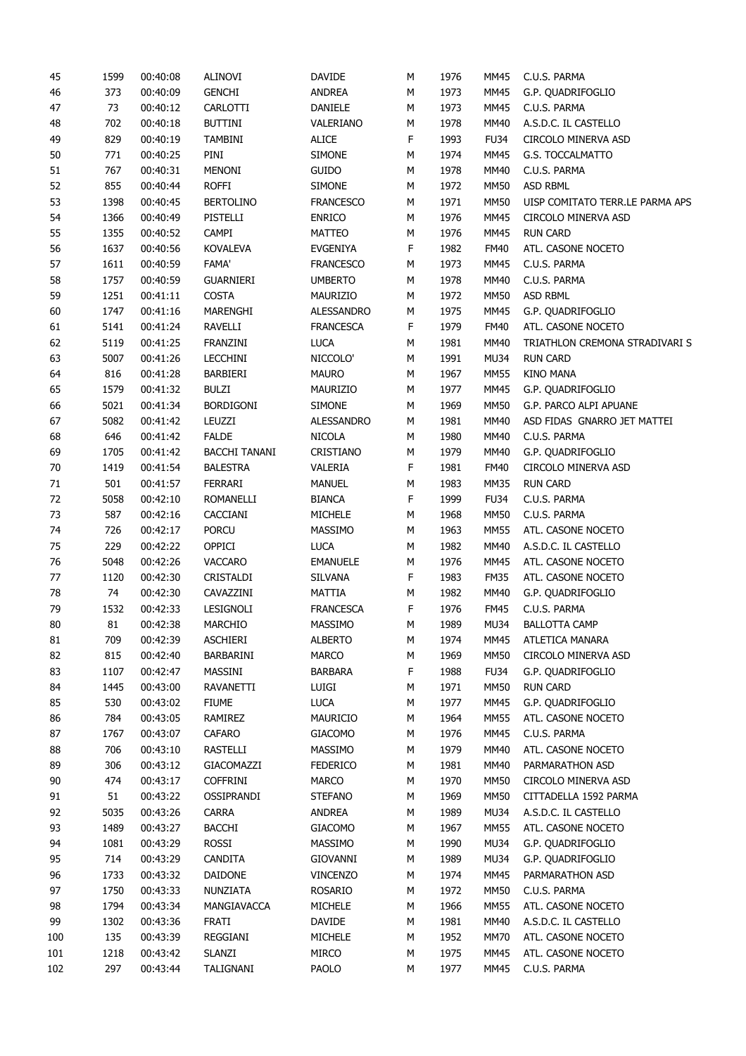| 45  | 1599 | 00:40:08 | ALINOVI              | <b>DAVIDE</b>    | М | 1976 | MM45        | C.U.S. PARMA                    |
|-----|------|----------|----------------------|------------------|---|------|-------------|---------------------------------|
| 46  | 373  | 00:40:09 | <b>GENCHI</b>        | ANDREA           | М | 1973 | MM45        | G.P. OUADRIFOGLIO               |
| 47  | 73   | 00:40:12 | CARLOTTI             | DANIELE          | М | 1973 | <b>MM45</b> | C.U.S. PARMA                    |
| 48  | 702  | 00:40:18 | <b>BUTTINI</b>       | VALERIANO        | М | 1978 | MM40        | A.S.D.C. IL CASTELLO            |
| 49  | 829  | 00:40:19 | <b>TAMBINI</b>       | <b>ALICE</b>     | F | 1993 | <b>FU34</b> | CIRCOLO MINERVA ASD             |
| 50  | 771  | 00:40:25 | PINI                 | <b>SIMONE</b>    | М | 1974 | MM45        | G.S. TOCCALMATTO                |
| 51  | 767  | 00:40:31 | MENONI               | <b>GUIDO</b>     | М | 1978 | MM40        | C.U.S. PARMA                    |
| 52  | 855  | 00:40:44 | <b>ROFFI</b>         | <b>SIMONE</b>    | М | 1972 | <b>MM50</b> | ASD RBML                        |
| 53  | 1398 | 00:40:45 | <b>BERTOLINO</b>     | <b>FRANCESCO</b> | М | 1971 | <b>MM50</b> | UISP COMITATO TERR.LE PARMA APS |
| 54  | 1366 | 00:40:49 | PISTELLI             | <b>ENRICO</b>    | М | 1976 | <b>MM45</b> | CIRCOLO MINERVA ASD             |
| 55  | 1355 | 00:40:52 | <b>CAMPI</b>         | <b>MATTEO</b>    | М | 1976 | <b>MM45</b> | <b>RUN CARD</b>                 |
| 56  | 1637 | 00:40:56 | <b>KOVALEVA</b>      | <b>EVGENIYA</b>  | F | 1982 | <b>FM40</b> | ATL. CASONE NOCETO              |
| 57  | 1611 | 00:40:59 | <b>FAMA'</b>         | <b>FRANCESCO</b> | М | 1973 | MM45        | C.U.S. PARMA                    |
| 58  | 1757 | 00:40:59 | <b>GUARNIERI</b>     | <b>UMBERTO</b>   | М | 1978 | MM40        | C.U.S. PARMA                    |
| 59  | 1251 | 00:41:11 | <b>COSTA</b>         | MAURIZIO         | М | 1972 | MM50        | ASD RBML                        |
| 60  | 1747 | 00:41:16 | MARENGHI             | ALESSANDRO       | М | 1975 | MM45        | G.P. QUADRIFOGLIO               |
| 61  | 5141 | 00:41:24 | <b>RAVELLI</b>       | <b>FRANCESCA</b> | F | 1979 | <b>FM40</b> | ATL. CASONE NOCETO              |
| 62  | 5119 | 00:41:25 | FRANZINI             | <b>LUCA</b>      | М | 1981 | <b>MM40</b> | TRIATHLON CREMONA STRADIVARI S  |
|     |      |          |                      |                  |   |      |             |                                 |
| 63  | 5007 | 00:41:26 | <b>LECCHINI</b>      | NICCOLO'         | М | 1991 | MU34        | <b>RUN CARD</b>                 |
| 64  | 816  | 00:41:28 | BARBIERI             | <b>MAURO</b>     | М | 1967 | <b>MM55</b> | <b>KINO MANA</b>                |
| 65  | 1579 | 00:41:32 | <b>BULZI</b>         | MAURIZIO         | М | 1977 | <b>MM45</b> | G.P. QUADRIFOGLIO               |
| 66  | 5021 | 00:41:34 | <b>BORDIGONI</b>     | <b>SIMONE</b>    | М | 1969 | <b>MM50</b> | G.P. PARCO ALPI APUANE          |
| 67  | 5082 | 00:41:42 | LEUZZI               | ALESSANDRO       | М | 1981 | MM40        | ASD FIDAS GNARRO JET MATTEI     |
| 68  | 646  | 00:41:42 | <b>FALDE</b>         | <b>NICOLA</b>    | М | 1980 | <b>MM40</b> | C.U.S. PARMA                    |
| 69  | 1705 | 00:41:42 | <b>BACCHI TANANI</b> | CRISTIANO        | М | 1979 | MM40        | G.P. QUADRIFOGLIO               |
| 70  | 1419 | 00:41:54 | <b>BALESTRA</b>      | VALERIA          | F | 1981 | <b>FM40</b> | CIRCOLO MINERVA ASD             |
| 71  | 501  | 00:41:57 | FERRARI              | <b>MANUEL</b>    | М | 1983 | <b>MM35</b> | <b>RUN CARD</b>                 |
| 72  | 5058 | 00:42:10 | <b>ROMANELLI</b>     | <b>BIANCA</b>    | F | 1999 | <b>FU34</b> | C.U.S. PARMA                    |
| 73  | 587  | 00:42:16 | CACCIANI             | <b>MICHELE</b>   | М | 1968 | MM50        | C.U.S. PARMA                    |
| 74  | 726  | 00:42:17 | <b>PORCU</b>         | MASSIMO          | М | 1963 | <b>MM55</b> | ATL. CASONE NOCETO              |
| 75  | 229  | 00:42:22 | OPPICI               | <b>LUCA</b>      | М | 1982 | MM40        | A.S.D.C. IL CASTELLO            |
| 76  | 5048 | 00:42:26 | <b>VACCARO</b>       | <b>EMANUELE</b>  | М | 1976 | MM45        | ATL. CASONE NOCETO              |
| 77  | 1120 | 00:42:30 | CRISTALDI            | <b>SILVANA</b>   | F | 1983 | <b>FM35</b> | ATL. CASONE NOCETO              |
| 78  | 74   | 00:42:30 | CAVAZZINI            | MATTIA           | М | 1982 | MM40        | G.P. QUADRIFOGLIO               |
| 79  | 1532 | 00:42:33 | LESIGNOLI            | <b>FRANCESCA</b> | F | 1976 | <b>FM45</b> | C.U.S. PARMA                    |
| 80  | 81   | 00:42:38 | <b>MARCHIO</b>       | MASSIMO          | М | 1989 | <b>MU34</b> | <b>BALLOTTA CAMP</b>            |
| 81  | 709  | 00:42:39 | <b>ASCHIERI</b>      | <b>ALBERTO</b>   | М | 1974 | <b>MM45</b> | ATLETICA MANARA                 |
| 82  | 815  | 00:42:40 | BARBARINI            | <b>MARCO</b>     | М | 1969 | MM50        | CIRCOLO MINERVA ASD             |
| 83  | 1107 | 00:42:47 | MASSINI              | <b>BARBARA</b>   | F | 1988 | <b>FU34</b> | G.P. QUADRIFOGLIO               |
| 84  | 1445 | 00:43:00 | RAVANETTI            | <b>LUIGI</b>     | М | 1971 | <b>MM50</b> | <b>RUN CARD</b>                 |
| 85  | 530  | 00:43:02 | <b>FIUME</b>         | <b>LUCA</b>      | М | 1977 | MM45        | G.P. QUADRIFOGLIO               |
| 86  | 784  | 00:43:05 | RAMIREZ              | MAURICIO         | М | 1964 | <b>MM55</b> | ATL. CASONE NOCETO              |
| 87  | 1767 | 00:43:07 | CAFARO               | <b>GIACOMO</b>   | М | 1976 | <b>MM45</b> | C.U.S. PARMA                    |
| 88  | 706  | 00:43:10 | RASTELLI             | <b>MASSIMO</b>   | М | 1979 | MM40        | ATL. CASONE NOCETO              |
| 89  | 306  | 00:43:12 | GIACOMAZZI           | <b>FEDERICO</b>  |   | 1981 | MM40        | PARMARATHON ASD                 |
|     |      |          |                      |                  | М |      |             |                                 |
| 90  | 474  | 00:43:17 | <b>COFFRINI</b>      | MARCO            | М | 1970 | MM50        | CIRCOLO MINERVA ASD             |
| 91  | 51   | 00:43:22 | OSSIPRANDI           | <b>STEFANO</b>   | М | 1969 | <b>MM50</b> | CITTADELLA 1592 PARMA           |
| 92  | 5035 | 00:43:26 | <b>CARRA</b>         | ANDREA           | М | 1989 | MU34        | A.S.D.C. IL CASTELLO            |
| 93  | 1489 | 00:43:27 | <b>BACCHI</b>        | <b>GIACOMO</b>   | М | 1967 | <b>MM55</b> | ATL. CASONE NOCETO              |
| 94  | 1081 | 00:43:29 | ROSSI                | MASSIMO          | М | 1990 | MU34        | G.P. QUADRIFOGLIO               |
| 95  | 714  | 00:43:29 | <b>CANDITA</b>       | GIOVANNI         | М | 1989 | MU34        | G.P. QUADRIFOGLIO               |
| 96  | 1733 | 00:43:32 | <b>DAIDONE</b>       | <b>VINCENZO</b>  | М | 1974 | MM45        | PARMARATHON ASD                 |
| 97  | 1750 | 00:43:33 | NUNZIATA             | ROSARIO          | М | 1972 | MM50        | C.U.S. PARMA                    |
| 98  | 1794 | 00:43:34 | MANGIAVACCA          | <b>MICHELE</b>   | М | 1966 | <b>MM55</b> | ATL. CASONE NOCETO              |
| 99  | 1302 | 00:43:36 | <b>FRATI</b>         | DAVIDE           | М | 1981 | MM40        | A.S.D.C. IL CASTELLO            |
| 100 | 135  | 00:43:39 | REGGIANI             | MICHELE          | М | 1952 | <b>MM70</b> | ATL. CASONE NOCETO              |
| 101 | 1218 | 00:43:42 | SLANZI               | <b>MIRCO</b>     | М | 1975 | MM45        | ATL. CASONE NOCETO              |
| 102 | 297  | 00:43:44 | TALIGNANI            | PAOLO            | М | 1977 | MM45        | C.U.S. PARMA                    |
|     |      |          |                      |                  |   |      |             |                                 |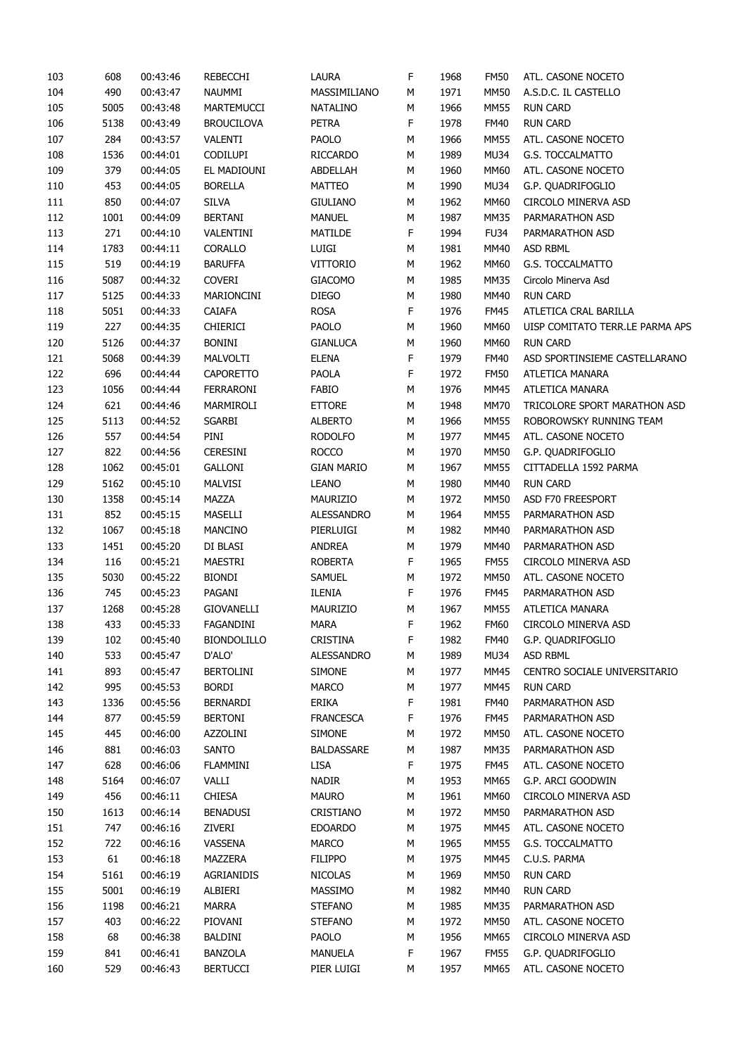| 103 | 608  | 00:43:46 | REBECCHI           | LAURA             | F           | 1968 | <b>FM50</b> | ATL. CASONE NOCETO              |
|-----|------|----------|--------------------|-------------------|-------------|------|-------------|---------------------------------|
| 104 | 490  | 00:43:47 | NAUMMI             | MASSIMILIANO      | М           | 1971 | MM50        | A.S.D.C. IL CASTELLO            |
| 105 | 5005 | 00:43:48 | MARTEMUCCI         | <b>NATALINO</b>   | М           | 1966 | <b>MM55</b> | <b>RUN CARD</b>                 |
| 106 | 5138 | 00:43:49 | <b>BROUCILOVA</b>  | <b>PETRA</b>      | F           | 1978 | <b>FM40</b> | <b>RUN CARD</b>                 |
| 107 | 284  | 00:43:57 | VALENTI            | PAOLO             | М           | 1966 | <b>MM55</b> | ATL. CASONE NOCETO              |
| 108 | 1536 | 00:44:01 | <b>CODILUPI</b>    | <b>RICCARDO</b>   | М           | 1989 | <b>MU34</b> | G.S. TOCCALMATTO                |
| 109 | 379  | 00:44:05 | EL MADIOUNI        | ABDELLAH          | М           | 1960 | MM60        | ATL. CASONE NOCETO              |
| 110 | 453  | 00:44:05 | <b>BORELLA</b>     | MATTEO            | М           | 1990 | <b>MU34</b> | G.P. QUADRIFOGLIO               |
| 111 | 850  | 00:44:07 | <b>SILVA</b>       | <b>GIULIANO</b>   | М           | 1962 | <b>MM60</b> | <b>CIRCOLO MINERVA ASD</b>      |
| 112 | 1001 | 00:44:09 | <b>BERTANI</b>     | <b>MANUEL</b>     | М           | 1987 | MM35        | PARMARATHON ASD                 |
| 113 | 271  | 00:44:10 | VALENTINI          | MATILDE           | F           | 1994 | <b>FU34</b> | PARMARATHON ASD                 |
| 114 | 1783 | 00:44:11 | CORALLO            | <b>LUIGI</b>      | М           | 1981 | MM40        | <b>ASD RBML</b>                 |
| 115 | 519  | 00:44:19 | <b>BARUFFA</b>     | <b>VITTORIO</b>   | М           | 1962 | MM60        | G.S. TOCCALMATTO                |
| 116 | 5087 | 00:44:32 | <b>COVERI</b>      | <b>GIACOMO</b>    | М           | 1985 | MM35        | Circolo Minerva Asd             |
| 117 | 5125 | 00:44:33 | MARIONCINI         | <b>DIEGO</b>      | М           | 1980 | <b>MM40</b> | <b>RUN CARD</b>                 |
|     |      |          |                    |                   |             |      |             |                                 |
| 118 | 5051 | 00:44:33 | CAIAFA             | <b>ROSA</b>       | F           | 1976 | <b>FM45</b> | ATLETICA CRAL BARILLA           |
| 119 | 227  | 00:44:35 | <b>CHIERICI</b>    | PAOLO             | М           | 1960 | MM60        | UISP COMITATO TERR.LE PARMA APS |
| 120 | 5126 | 00:44:37 | <b>BONINI</b>      | <b>GIANLUCA</b>   | М           | 1960 | MM60        | <b>RUN CARD</b>                 |
| 121 | 5068 | 00:44:39 | MALVOLTI           | <b>ELENA</b>      | F           | 1979 | <b>FM40</b> | ASD SPORTINSIEME CASTELLARANO   |
| 122 | 696  | 00:44:44 | <b>CAPORETTO</b>   | PAOLA             | F           | 1972 | <b>FM50</b> | ATLETICA MANARA                 |
| 123 | 1056 | 00:44:44 | <b>FERRARONI</b>   | <b>FABIO</b>      | М           | 1976 | <b>MM45</b> | ATLETICA MANARA                 |
| 124 | 621  | 00:44:46 | MARMIROLI          | <b>ETTORE</b>     | М           | 1948 | <b>MM70</b> | TRICOLORE SPORT MARATHON ASD    |
| 125 | 5113 | 00:44:52 | <b>SGARBI</b>      | <b>ALBERTO</b>    | М           | 1966 | <b>MM55</b> | ROBOROWSKY RUNNING TEAM         |
| 126 | 557  | 00:44:54 | PINI               | <b>RODOLFO</b>    | М           | 1977 | <b>MM45</b> | ATL. CASONE NOCETO              |
| 127 | 822  | 00:44:56 | <b>CERESINI</b>    | <b>ROCCO</b>      | М           | 1970 | <b>MM50</b> | G.P. QUADRIFOGLIO               |
| 128 | 1062 | 00:45:01 | <b>GALLONI</b>     | <b>GIAN MARIO</b> | М           | 1967 | <b>MM55</b> | CITTADELLA 1592 PARMA           |
| 129 | 5162 | 00:45:10 | MALVISI            | <b>LEANO</b>      | М           | 1980 | MM40        | <b>RUN CARD</b>                 |
| 130 | 1358 | 00:45:14 | MAZZA              | MAURIZIO          | М           | 1972 | <b>MM50</b> | ASD F70 FREESPORT               |
| 131 | 852  | 00:45:15 | MASELLI            | ALESSANDRO        | М           | 1964 | <b>MM55</b> | PARMARATHON ASD                 |
| 132 | 1067 | 00:45:18 | <b>MANCINO</b>     | PIERLUIGI         | М           | 1982 | <b>MM40</b> | PARMARATHON ASD                 |
| 133 | 1451 | 00:45:20 | DI BLASI           | ANDREA            | М           | 1979 | MM40        | PARMARATHON ASD                 |
| 134 | 116  | 00:45:21 | MAESTRI            | <b>ROBERTA</b>    | F           | 1965 | <b>FM55</b> | CIRCOLO MINERVA ASD             |
| 135 | 5030 | 00:45:22 | <b>BIONDI</b>      | <b>SAMUEL</b>     | М           | 1972 | <b>MM50</b> | ATL. CASONE NOCETO              |
| 136 | 745  | 00:45:23 | PAGANI             | ILENIA            | F           | 1976 | <b>FM45</b> | PARMARATHON ASD                 |
| 137 | 1268 | 00:45:28 | GIOVANELLI         | MAURIZIO          | М           | 1967 | <b>MM55</b> | ATLETICA MANARA                 |
| 138 | 433  | 00:45:33 | FAGANDINI          | <b>MARA</b>       | F           | 1962 | <b>FM60</b> | CIRCOLO MINERVA ASD             |
| 139 | 102  | 00:45:40 | <b>BIONDOLILLO</b> | CRISTINA          | $\mathsf F$ | 1982 | <b>FM40</b> | G.P. QUADRIFOGLIO               |
| 140 | 533  | 00:45:47 | D'ALO'             | ALESSANDRO        | М           | 1989 | MU34        | ASD RBML                        |
| 141 | 893  | 00:45:47 | <b>BERTOLINI</b>   | <b>SIMONE</b>     | М           | 1977 | <b>MM45</b> | CENTRO SOCIALE UNIVERSITARIO    |
| 142 | 995  | 00:45:53 | <b>BORDI</b>       | MARCO             | М           | 1977 | <b>MM45</b> | <b>RUN CARD</b>                 |
| 143 | 1336 | 00:45:56 | <b>BERNARDI</b>    | ERIKA             | F           | 1981 | <b>FM40</b> | PARMARATHON ASD                 |
| 144 | 877  | 00:45:59 | <b>BERTONI</b>     | <b>FRANCESCA</b>  | F           | 1976 | <b>FM45</b> | PARMARATHON ASD                 |
| 145 | 445  | 00:46:00 | AZZOLINI           | <b>SIMONE</b>     |             | 1972 | <b>MM50</b> | ATL. CASONE NOCETO              |
|     |      |          |                    |                   | М           |      |             |                                 |
| 146 | 881  | 00:46:03 | <b>SANTO</b>       | <b>BALDASSARE</b> | М           | 1987 | <b>MM35</b> | PARMARATHON ASD                 |
| 147 | 628  | 00:46:06 | <b>FLAMMINI</b>    | LISA              | F           | 1975 | <b>FM45</b> | ATL. CASONE NOCETO              |
| 148 | 5164 | 00:46:07 | VALLI              | NADIR             | М           | 1953 | MM65        | G.P. ARCI GOODWIN               |
| 149 | 456  | 00:46:11 | <b>CHIESA</b>      | <b>MAURO</b>      | М           | 1961 | <b>MM60</b> | CIRCOLO MINERVA ASD             |
| 150 | 1613 | 00:46:14 | <b>BENADUSI</b>    | CRISTIANO         | М           | 1972 | <b>MM50</b> | PARMARATHON ASD                 |
| 151 | 747  | 00:46:16 | ZIVERI             | <b>EDOARDO</b>    | М           | 1975 | <b>MM45</b> | ATL. CASONE NOCETO              |
| 152 | 722  | 00:46:16 | VASSENA            | MARCO             | М           | 1965 | <b>MM55</b> | G.S. TOCCALMATTO                |
| 153 | 61   | 00:46:18 | MAZZERA            | <b>FILIPPO</b>    | М           | 1975 | <b>MM45</b> | C.U.S. PARMA                    |
| 154 | 5161 | 00:46:19 | AGRIANIDIS         | <b>NICOLAS</b>    | М           | 1969 | <b>MM50</b> | <b>RUN CARD</b>                 |
| 155 | 5001 | 00:46:19 | ALBIERI            | MASSIMO           | М           | 1982 | <b>MM40</b> | <b>RUN CARD</b>                 |
| 156 | 1198 | 00:46:21 | <b>MARRA</b>       | <b>STEFANO</b>    | М           | 1985 | MM35        | PARMARATHON ASD                 |
| 157 | 403  | 00:46:22 | PIOVANI            | <b>STEFANO</b>    | М           | 1972 | <b>MM50</b> | ATL. CASONE NOCETO              |
| 158 | 68   | 00:46:38 | BALDINI            | PAOLO             | М           | 1956 | MM65        | CIRCOLO MINERVA ASD             |
| 159 | 841  | 00:46:41 | <b>BANZOLA</b>     | <b>MANUELA</b>    | F           | 1967 | <b>FM55</b> | G.P. QUADRIFOGLIO               |
| 160 | 529  | 00:46:43 | <b>BERTUCCI</b>    | PIER LUIGI        | М           | 1957 | MM65        | ATL. CASONE NOCETO              |
|     |      |          |                    |                   |             |      |             |                                 |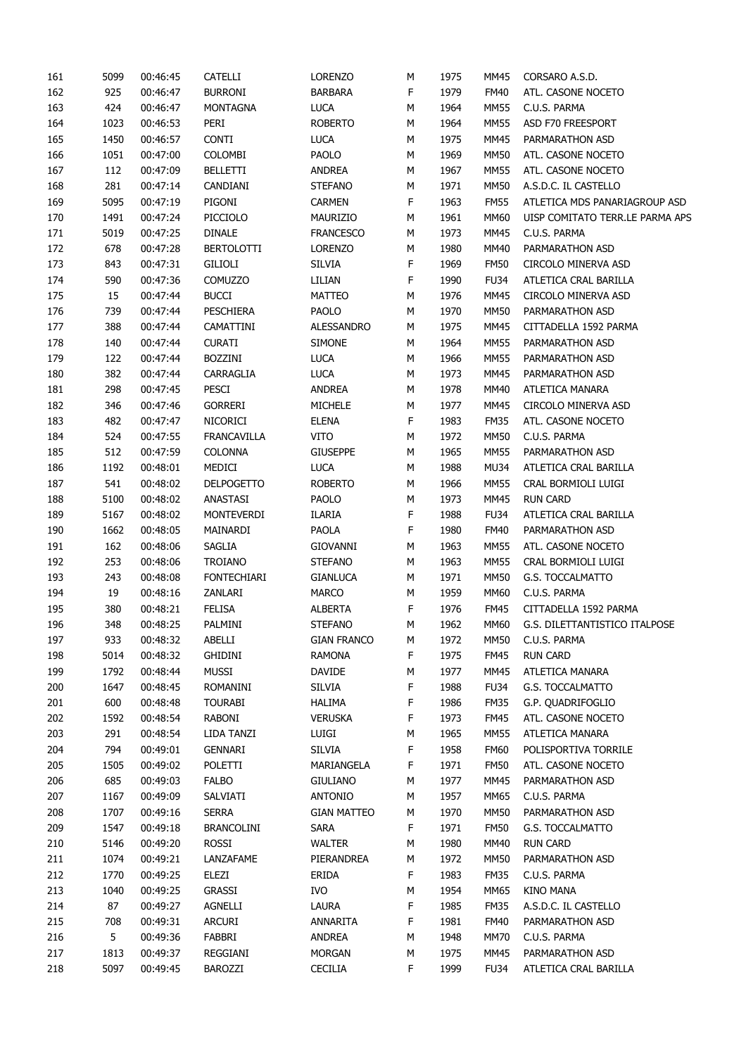| 161 | 5099 | 00:46:45 | <b>CATELLI</b>     | <b>LORENZO</b>     | М | 1975 | MM45        | CORSARO A.S.D.                  |
|-----|------|----------|--------------------|--------------------|---|------|-------------|---------------------------------|
| 162 | 925  | 00:46:47 | <b>BURRONI</b>     | <b>BARBARA</b>     | F | 1979 | FM40        | ATL. CASONE NOCETO              |
| 163 | 424  | 00:46:47 | <b>MONTAGNA</b>    | <b>LUCA</b>        | М | 1964 | <b>MM55</b> | C.U.S. PARMA                    |
| 164 | 1023 | 00:46:53 | PERI               | <b>ROBERTO</b>     | М | 1964 | MM55        | ASD F70 FREESPORT               |
| 165 | 1450 | 00:46:57 | <b>CONTI</b>       | <b>LUCA</b>        | М | 1975 | <b>MM45</b> | PARMARATHON ASD                 |
| 166 | 1051 | 00:47:00 | COLOMBI            | PAOLO              | М | 1969 | <b>MM50</b> | ATL. CASONE NOCETO              |
| 167 | 112  | 00:47:09 | <b>BELLETTI</b>    | <b>ANDREA</b>      | М | 1967 | MM55        | ATL. CASONE NOCETO              |
| 168 | 281  | 00:47:14 | CANDIANI           | <b>STEFANO</b>     | М | 1971 | <b>MM50</b> | A.S.D.C. IL CASTELLO            |
| 169 | 5095 | 00:47:19 | PIGONI             | <b>CARMEN</b>      | F | 1963 | <b>FM55</b> | ATLETICA MDS PANARIAGROUP ASD   |
| 170 | 1491 | 00:47:24 | PICCIOLO           | MAURIZIO           | М | 1961 | MM60        | UISP COMITATO TERR.LE PARMA APS |
| 171 | 5019 | 00:47:25 | <b>DINALE</b>      | <b>FRANCESCO</b>   | М | 1973 | <b>MM45</b> | C.U.S. PARMA                    |
| 172 | 678  | 00:47:28 | <b>BERTOLOTTI</b>  | <b>LORENZO</b>     | М | 1980 | MM40        | PARMARATHON ASD                 |
| 173 | 843  | 00:47:31 | GILIOLI            | <b>SILVIA</b>      | F | 1969 | <b>FM50</b> | CIRCOLO MINERVA ASD             |
| 174 | 590  | 00:47:36 | <b>COMUZZO</b>     | LILIAN             | F | 1990 | <b>FU34</b> | ATLETICA CRAL BARILLA           |
| 175 | 15   | 00:47:44 | <b>BUCCI</b>       | MATTEO             | М | 1976 | <b>MM45</b> | CIRCOLO MINERVA ASD             |
| 176 | 739  | 00:47:44 | PESCHIERA          | PAOLO              | М | 1970 | <b>MM50</b> | PARMARATHON ASD                 |
| 177 | 388  | 00:47:44 | CAMATTINI          | ALESSANDRO         | М | 1975 | <b>MM45</b> | CITTADELLA 1592 PARMA           |
| 178 | 140  | 00:47:44 | <b>CURATI</b>      | <b>SIMONE</b>      | М | 1964 | <b>MM55</b> | PARMARATHON ASD                 |
| 179 | 122  | 00:47:44 | <b>BOZZINI</b>     | <b>LUCA</b>        | М | 1966 | <b>MM55</b> | PARMARATHON ASD                 |
| 180 | 382  | 00:47:44 | CARRAGLIA          | <b>LUCA</b>        | М | 1973 | <b>MM45</b> | PARMARATHON ASD                 |
| 181 | 298  | 00:47:45 | PESCI              | <b>ANDREA</b>      | М | 1978 | MM40        | ATLETICA MANARA                 |
| 182 | 346  | 00:47:46 | <b>GORRERI</b>     | <b>MICHELE</b>     | М | 1977 | <b>MM45</b> | CIRCOLO MINERVA ASD             |
| 183 | 482  | 00:47:47 | NICORICI           | <b>ELENA</b>       | F | 1983 | <b>FM35</b> | ATL. CASONE NOCETO              |
|     |      |          |                    | <b>VITO</b>        |   |      |             |                                 |
| 184 | 524  | 00:47:55 | <b>FRANCAVILLA</b> |                    | М | 1972 | <b>MM50</b> | C.U.S. PARMA                    |
| 185 | 512  | 00:47:59 | <b>COLONNA</b>     | <b>GIUSEPPE</b>    | М | 1965 | <b>MM55</b> | PARMARATHON ASD                 |
| 186 | 1192 | 00:48:01 | MEDICI             | <b>LUCA</b>        | М | 1988 | MU34        | ATLETICA CRAL BARILLA           |
| 187 | 541  | 00:48:02 | <b>DELPOGETTO</b>  | <b>ROBERTO</b>     | М | 1966 | <b>MM55</b> | CRAL BORMIOLI LUIGI             |
| 188 | 5100 | 00:48:02 | ANASTASI           | PAOLO              | М | 1973 | <b>MM45</b> | <b>RUN CARD</b>                 |
| 189 | 5167 | 00:48:02 | MONTEVERDI         | <b>ILARIA</b>      | F | 1988 | <b>FU34</b> | ATLETICA CRAL BARILLA           |
| 190 | 1662 | 00:48:05 | MAINARDI           | <b>PAOLA</b>       | F | 1980 | <b>FM40</b> | PARMARATHON ASD                 |
| 191 | 162  | 00:48:06 | SAGLIA             | <b>GIOVANNI</b>    | М | 1963 | <b>MM55</b> | ATL. CASONE NOCETO              |
| 192 | 253  | 00:48:06 | TROIANO            | <b>STEFANO</b>     | М | 1963 | MM55        | CRAL BORMIOLI LUIGI             |
| 193 | 243  | 00:48:08 | <b>FONTECHIARI</b> | <b>GIANLUCA</b>    | М | 1971 | <b>MM50</b> | G.S. TOCCALMATTO                |
| 194 | 19   | 00:48:16 | ZANLARI            | <b>MARCO</b>       | М | 1959 | MM60        | C.U.S. PARMA                    |
| 195 | 380  | 00:48:21 | <b>FELISA</b>      | <b>ALBERTA</b>     | F | 1976 | FM45        | CITTADELLA 1592 PARMA           |
| 196 | 348  | 00:48:25 | PALMINI            | <b>STEFANO</b>     | М | 1962 | MM60        | G.S. DILETTANTISTICO ITALPOSE   |
| 197 | 933  | 00:48:32 | ABELLI             | <b>GIAN FRANCO</b> | М | 1972 | <b>MM50</b> | C.U.S. PARMA                    |
| 198 | 5014 | 00:48:32 | <b>GHIDINI</b>     | <b>RAMONA</b>      | F | 1975 | <b>FM45</b> | <b>RUN CARD</b>                 |
| 199 | 1792 | 00:48:44 | <b>MUSSI</b>       | <b>DAVIDE</b>      | М | 1977 | <b>MM45</b> | ATLETICA MANARA                 |
| 200 | 1647 | 00:48:45 | ROMANINI           | <b>SILVIA</b>      | F | 1988 | <b>FU34</b> | G.S. TOCCALMATTO                |
| 201 | 600  | 00:48:48 | <b>TOURABI</b>     | <b>HALIMA</b>      | F | 1986 | <b>FM35</b> | G.P. QUADRIFOGLIO               |
| 202 | 1592 | 00:48:54 | RABONI             | <b>VERUSKA</b>     | F | 1973 | <b>FM45</b> | ATL. CASONE NOCETO              |
| 203 | 291  | 00:48:54 | LIDA TANZI         | LUIGI              | М | 1965 | <b>MM55</b> | ATLETICA MANARA                 |
| 204 | 794  | 00:49:01 | <b>GENNARI</b>     | <b>SILVIA</b>      | F | 1958 | <b>FM60</b> | POLISPORTIVA TORRILE            |
| 205 | 1505 | 00:49:02 | POLETTI            | MARIANGELA         | F | 1971 | <b>FM50</b> | ATL. CASONE NOCETO              |
| 206 | 685  | 00:49:03 | <b>FALBO</b>       | <b>GIULIANO</b>    | М | 1977 | <b>MM45</b> | PARMARATHON ASD                 |
| 207 | 1167 | 00:49:09 | SALVIATI           | <b>ANTONIO</b>     | М | 1957 | MM65        | C.U.S. PARMA                    |
| 208 | 1707 | 00:49:16 | <b>SERRA</b>       | <b>GIAN MATTEO</b> | М | 1970 | <b>MM50</b> | PARMARATHON ASD                 |
| 209 | 1547 | 00:49:18 | <b>BRANCOLINI</b>  | SARA               | F | 1971 | <b>FM50</b> | G.S. TOCCALMATTO                |
| 210 | 5146 | 00:49:20 | <b>ROSSI</b>       | WALTER             | М | 1980 | MM40        | <b>RUN CARD</b>                 |
| 211 | 1074 | 00:49:21 | LANZAFAME          | PIERANDREA         | М | 1972 | <b>MM50</b> | PARMARATHON ASD                 |
| 212 | 1770 | 00:49:25 | ELEZI              | ERIDA              | F | 1983 | <b>FM35</b> | C.U.S. PARMA                    |
| 213 | 1040 | 00:49:25 | <b>GRASSI</b>      | <b>IVO</b>         | М | 1954 | MM65        | KINO MANA                       |
| 214 | 87   | 00:49:27 | AGNELLI            | LAURA              | F | 1985 | <b>FM35</b> | A.S.D.C. IL CASTELLO            |
| 215 | 708  | 00:49:31 | ARCURI             | ANNARITA           | F | 1981 | <b>FM40</b> | PARMARATHON ASD                 |
| 216 | 5    | 00:49:36 | FABBRI             | <b>ANDREA</b>      | М | 1948 | <b>MM70</b> | C.U.S. PARMA                    |
| 217 | 1813 | 00:49:37 | REGGIANI           | <b>MORGAN</b>      | М | 1975 | <b>MM45</b> | PARMARATHON ASD                 |
| 218 | 5097 | 00:49:45 | <b>BAROZZI</b>     | CECILIA            | F | 1999 | <b>FU34</b> | ATLETICA CRAL BARILLA           |
|     |      |          |                    |                    |   |      |             |                                 |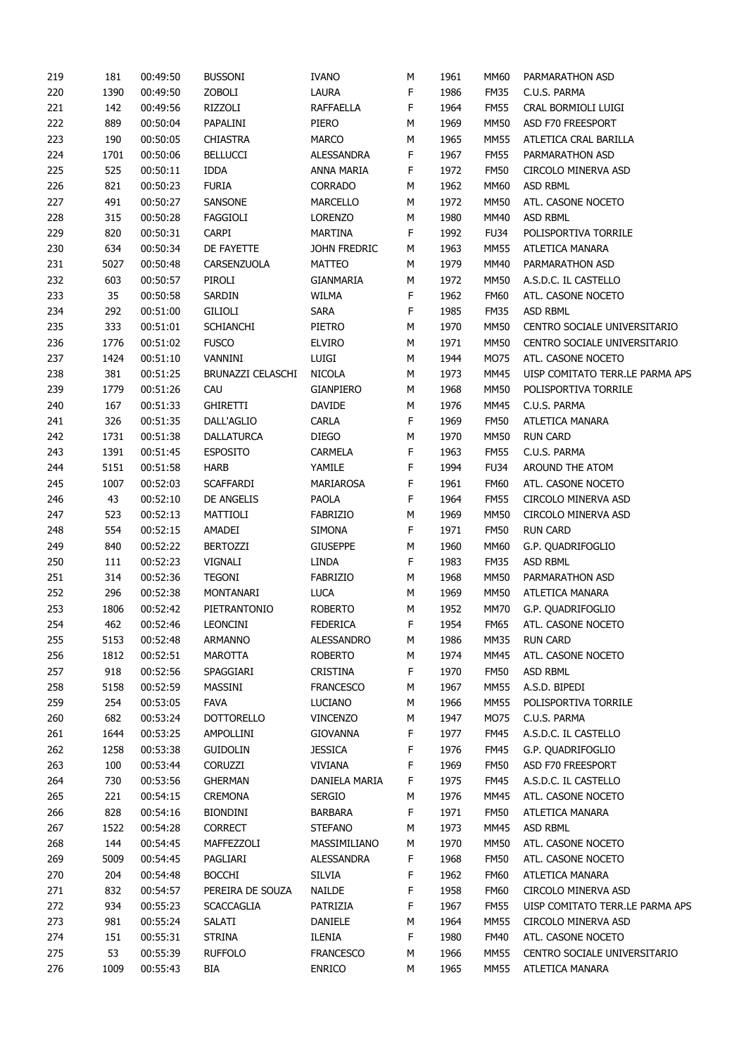| 219        | 181  | 00:49:50 | <b>BUSSONI</b>    | <b>IVANO</b>                | М      | 1961 | <b>MM60</b> | PARMARATHON ASD                       |
|------------|------|----------|-------------------|-----------------------------|--------|------|-------------|---------------------------------------|
| 220        | 1390 | 00:49:50 | ZOBOLI            | LAURA                       | F      | 1986 | <b>FM35</b> | C.U.S. PARMA                          |
| 221        | 142  | 00:49:56 | RIZZOLI           | <b>RAFFAELLA</b>            | F      | 1964 | <b>FM55</b> | CRAL BORMIOLI LUIGI                   |
| 222        | 889  | 00:50:04 | PAPALINI          | piero                       | М      | 1969 | MM50        | ASD F70 FREESPORT                     |
| 223        | 190  | 00:50:05 | <b>CHIASTRA</b>   | <b>MARCO</b>                | М      | 1965 | <b>MM55</b> | ATLETICA CRAL BARILLA                 |
| 224        | 1701 | 00:50:06 | <b>BELLUCCI</b>   | ALESSANDRA                  | F      | 1967 | <b>FM55</b> | PARMARATHON ASD                       |
| 225        | 525  | 00:50:11 | <b>IDDA</b>       | ANNA MARIA                  | F      | 1972 | <b>FM50</b> | CIRCOLO MINERVA ASD                   |
| 226        | 821  | 00:50:23 | <b>FURIA</b>      | <b>CORRADO</b>              | М      | 1962 | <b>MM60</b> | ASD RBML                              |
| 227        | 491  | 00:50:27 | SANSONE           | MARCELLO                    | М      | 1972 | <b>MM50</b> | ATL. CASONE NOCETO                    |
| 228        | 315  | 00:50:28 | FAGGIOLI          | <b>LORENZO</b>              | М      | 1980 | MM40        | ASD RBML                              |
| 229        | 820  | 00:50:31 | <b>CARPI</b>      | <b>MARTINA</b>              | F      | 1992 | <b>FU34</b> | POLISPORTIVA TORRILE                  |
| 230        | 634  | 00:50:34 | DE FAYETTE        | JOHN FREDRIC                | М      | 1963 | <b>MM55</b> | ATLETICA MANARA                       |
| 231        | 5027 | 00:50:48 | CARSENZUOLA       | <b>MATTEO</b>               | М      | 1979 | MM40        | PARMARATHON ASD                       |
| 232        | 603  | 00:50:57 | PIROLI            | GIANMARIA                   | М      | 1972 | MM50        | A.S.D.C. IL CASTELLO                  |
| 233        | 35   | 00:50:58 | SARDIN            | WILMA                       | F      | 1962 | <b>FM60</b> | ATL. CASONE NOCETO                    |
| 234        | 292  | 00:51:00 | GILIOLI           | <b>SARA</b>                 | F      | 1985 | <b>FM35</b> | ASD RBML                              |
| 235        | 333  | 00:51:01 | <b>SCHIANCHI</b>  | PIETRO                      | М      | 1970 | <b>MM50</b> | CENTRO SOCIALE UNIVERSITARIO          |
| 236        | 1776 | 00:51:02 | <b>FUSCO</b>      | <b>ELVIRO</b>               | М      | 1971 | <b>MM50</b> | CENTRO SOCIALE UNIVERSITARIO          |
| 237        | 1424 | 00:51:10 | VANNINI           | LUIGI                       | М      | 1944 | MO75        | ATL. CASONE NOCETO                    |
| 238        | 381  | 00:51:25 | BRUNAZZI CELASCHI | <b>NICOLA</b>               | М      | 1973 | MM45        | UISP COMITATO TERR.LE PARMA APS       |
| 239        | 1779 | 00:51:26 | CAU               | GIANPIERO                   | М      | 1968 | <b>MM50</b> | POLISPORTIVA TORRILE                  |
| 240        | 167  | 00:51:33 | <b>GHIRETTI</b>   | <b>DAVIDE</b>               | М      | 1976 | MM45        | C.U.S. PARMA                          |
| 241        | 326  | 00:51:35 | DALL'AGLIO        | <b>CARLA</b>                | F      | 1969 | <b>FM50</b> | ATLETICA MANARA                       |
| 242        | 1731 | 00:51:38 | <b>DALLATURCA</b> | <b>DIEGO</b>                | М      | 1970 | <b>MM50</b> | <b>RUN CARD</b>                       |
| 243        | 1391 | 00:51:45 | <b>ESPOSITO</b>   | CARMELA                     | F      | 1963 | <b>FM55</b> | C.U.S. PARMA                          |
| 244        | 5151 | 00:51:58 | <b>HARB</b>       | YAMILE                      | F      | 1994 | <b>FU34</b> | AROUND THE ATOM                       |
| 245        | 1007 | 00:52:03 | <b>SCAFFARDI</b>  | MARIAROSA                   | F      | 1961 | <b>FM60</b> | ATL. CASONE NOCETO                    |
| 246        | 43   | 00:52:10 | DE ANGELIS        | PAOLA                       | F      | 1964 | <b>FM55</b> | CIRCOLO MINERVA ASD                   |
| 247        | 523  | 00:52:13 | MATTIOLI          | FABRIZIO                    | М      | 1969 | <b>MM50</b> | CIRCOLO MINERVA ASD                   |
| 248        | 554  | 00:52:15 | AMADEI            | <b>SIMONA</b>               | F      | 1971 | <b>FM50</b> | <b>RUN CARD</b>                       |
| 249        | 840  | 00:52:22 | <b>BERTOZZI</b>   | <b>GIUSEPPE</b>             | М      | 1960 | <b>MM60</b> | G.P. QUADRIFOGLIO                     |
| 250        | 111  | 00:52:23 | VIGNALI           | LINDA                       | F      | 1983 | <b>FM35</b> | ASD RBML                              |
| 251        | 314  | 00:52:36 | <b>TEGONI</b>     | FABRIZIO                    | М      | 1968 | <b>MM50</b> | PARMARATHON ASD                       |
| 252        | 296  | 00:52:38 | MONTANARI         | <b>LUCA</b>                 | М      | 1969 | <b>MM50</b> | ATLETICA MANARA                       |
| 253        | 1806 | 00:52:42 | PIETRANTONIO      | <b>ROBERTO</b>              | М      | 1952 | MM70        | G.P. QUADRIFOGLIO                     |
| 254        | 462  | 00:52:46 | <b>LEONCINI</b>   | <b>FEDERICA</b>             | F      | 1954 | <b>FM65</b> | ATL. CASONE NOCETO                    |
| 255        | 5153 | 00:52:48 | <b>ARMANNO</b>    | ALESSANDRO                  | М      | 1986 | <b>MM35</b> | <b>RUN CARD</b>                       |
| 256        | 1812 | 00:52:51 | <b>MAROTTA</b>    | <b>ROBERTO</b>              | М      | 1974 | MM45        | ATL. CASONE NOCETO                    |
| 257        | 918  | 00:52:56 | SPAGGIARI         | <b>CRISTINA</b>             | F      | 1970 | <b>FM50</b> | ASD RBML                              |
| 258        | 5158 | 00:52:59 |                   |                             |        | 1967 | <b>MM55</b> |                                       |
|            | 254  | 00:53:05 | MASSINI<br>FAVA   | <b>FRANCESCO</b><br>LUCIANO | М      | 1966 | MM55        | A.S.D. BIPEDI<br>POLISPORTIVA TORRILE |
| 259<br>260 | 682  | 00:53:24 | <b>DOTTORELLO</b> | <b>VINCENZO</b>             | М<br>М | 1947 | MO75        | C.U.S. PARMA                          |
| 261        | 1644 | 00:53:25 | AMPOLLINI         | <b>GIOVANNA</b>             | F      | 1977 | <b>FM45</b> | A.S.D.C. IL CASTELLO                  |
| 262        | 1258 | 00:53:38 | <b>GUIDOLIN</b>   | <b>JESSICA</b>              | F      | 1976 | FM45        | G.P. QUADRIFOGLIO                     |
|            |      | 00:53:44 |                   |                             | F      |      |             | ASD F70 FREESPORT                     |
| 263        | 100  |          | <b>CORUZZI</b>    | <b>VIVIANA</b>              |        | 1969 | <b>FM50</b> | A.S.D.C. IL CASTELLO                  |
| 264        | 730  | 00:53:56 | <b>GHERMAN</b>    | DANIELA MARIA               | F      | 1975 | <b>FM45</b> |                                       |
| 265        | 221  | 00:54:15 | <b>CREMONA</b>    | <b>SERGIO</b>               | М      | 1976 | MM45        | ATL. CASONE NOCETO                    |
| 266        | 828  | 00:54:16 | <b>BIONDINI</b>   | <b>BARBARA</b>              | F      | 1971 | <b>FM50</b> | ATLETICA MANARA                       |
| 267        | 1522 | 00:54:28 | <b>CORRECT</b>    | <b>STEFANO</b>              | М      | 1973 | MM45        | ASD RBML                              |
| 268        | 144  | 00:54:45 | MAFFEZZOLI        | MASSIMILIANO                | М      | 1970 | MM50        | ATL. CASONE NOCETO                    |
| 269        | 5009 | 00:54:45 | PAGLIARI          | ALESSANDRA                  | F      | 1968 | <b>FM50</b> | ATL. CASONE NOCETO                    |
| 270        | 204  | 00:54:48 | <b>BOCCHI</b>     | <b>SILVIA</b>               | F      | 1962 | <b>FM60</b> | ATLETICA MANARA                       |
| 271        | 832  | 00:54:57 | PEREIRA DE SOUZA  | <b>NAILDE</b>               | F      | 1958 | <b>FM60</b> | CIRCOLO MINERVA ASD                   |
| 272        | 934  | 00:55:23 | <b>SCACCAGLIA</b> | PATRIZIA                    | F      | 1967 | <b>FM55</b> | UISP COMITATO TERR.LE PARMA APS       |
| 273        | 981  | 00:55:24 | SALATI            | DANIELE                     | М      | 1964 | <b>MM55</b> | CIRCOLO MINERVA ASD                   |
| 274        | 151  | 00:55:31 | <b>STRINA</b>     | ILENIA                      | F      | 1980 | <b>FM40</b> | ATL. CASONE NOCETO                    |
| 275        | 53   | 00:55:39 | <b>RUFFOLO</b>    | <b>FRANCESCO</b>            | М      | 1966 | <b>MM55</b> | CENTRO SOCIALE UNIVERSITARIO          |
| 276        | 1009 | 00:55:43 | BIA               | <b>ENRICO</b>               | М      | 1965 | <b>MM55</b> | ATLETICA MANARA                       |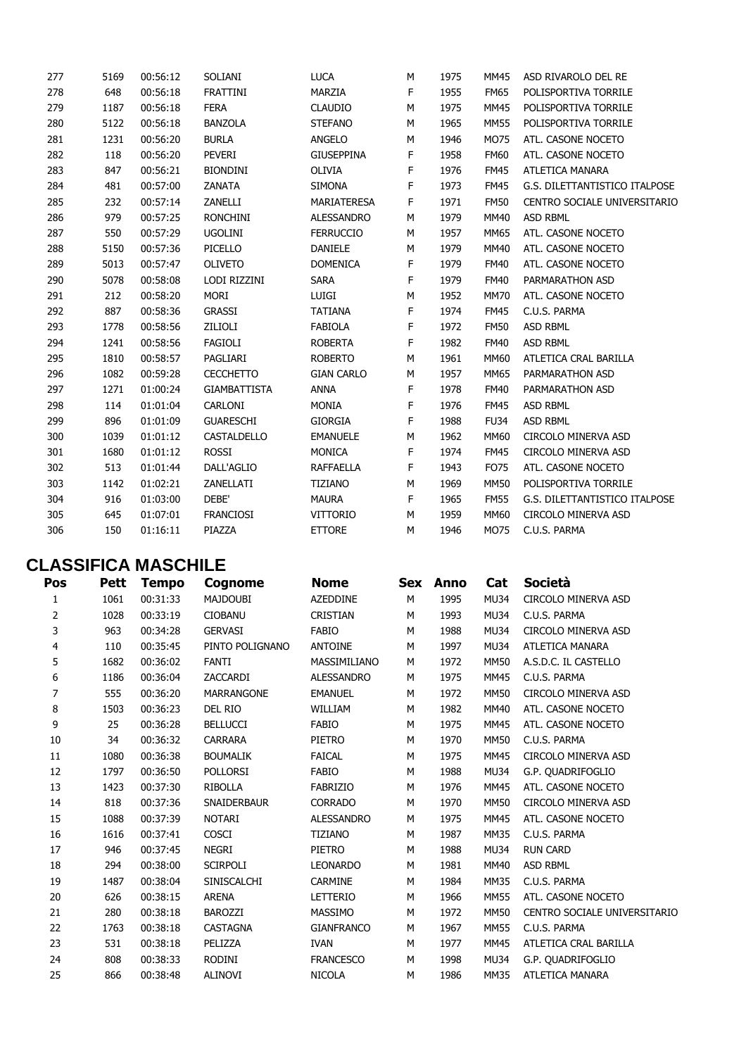| 277 | 5169 | 00:56:12 | SOLIANI             | <b>LUCA</b>       | М | 1975 | <b>MM45</b> | ASD RIVAROLO DEL RE           |
|-----|------|----------|---------------------|-------------------|---|------|-------------|-------------------------------|
| 278 | 648  | 00:56:18 | FRATTINI            | MARZIA            | F | 1955 | <b>FM65</b> | POLISPORTIVA TORRILE          |
| 279 | 1187 | 00:56:18 | <b>FERA</b>         | <b>CLAUDIO</b>    | M | 1975 | <b>MM45</b> | POLISPORTIVA TORRILE          |
| 280 | 5122 | 00:56:18 | <b>BANZOLA</b>      | <b>STEFANO</b>    | M | 1965 | <b>MM55</b> | POLISPORTIVA TORRILE          |
| 281 | 1231 | 00:56:20 | <b>BURLA</b>        | ANGELO            | М | 1946 | <b>MO75</b> | ATL. CASONE NOCETO            |
| 282 | 118  | 00:56:20 | PEVERI              | <b>GIUSEPPINA</b> | F | 1958 | <b>FM60</b> | ATL. CASONE NOCETO            |
| 283 | 847  | 00:56:21 | <b>BIONDINI</b>     | OLIVIA            | F | 1976 | <b>FM45</b> | ATLETICA MANARA               |
| 284 | 481  | 00:57:00 | <b>ZANATA</b>       | <b>SIMONA</b>     | F | 1973 | <b>FM45</b> | G.S. DILETTANTISTICO ITALPOSE |
| 285 | 232  | 00:57:14 | ZANELLI             | MARIATERESA       | F | 1971 | <b>FM50</b> | CENTRO SOCIALE UNIVERSITARIO  |
| 286 | 979  | 00:57:25 | RONCHINI            | ALESSANDRO        | М | 1979 | <b>MM40</b> | ASD RBML                      |
| 287 | 550  | 00:57:29 | <b>UGOLINI</b>      | <b>FERRUCCIO</b>  | M | 1957 | MM65        | ATL. CASONE NOCETO            |
| 288 | 5150 | 00:57:36 | PICELLO             | <b>DANIELE</b>    | М | 1979 | <b>MM40</b> | ATL. CASONE NOCETO            |
| 289 | 5013 | 00:57:47 | OLIVETO             | <b>DOMENICA</b>   | F | 1979 | <b>FM40</b> | ATL. CASONE NOCETO            |
| 290 | 5078 | 00:58:08 | LODI RIZZINI        | <b>SARA</b>       | F | 1979 | <b>FM40</b> | PARMARATHON ASD               |
| 291 | 212  | 00:58:20 | MORI                | LUIGI             | M | 1952 | <b>MM70</b> | ATL. CASONE NOCETO            |
| 292 | 887  | 00:58:36 | <b>GRASSI</b>       | TATIANA           | F | 1974 | <b>FM45</b> | C.U.S. PARMA                  |
| 293 | 1778 | 00:58:56 | ZILIOLI             | <b>FABIOLA</b>    | F | 1972 | <b>FM50</b> | <b>ASD RBML</b>               |
| 294 | 1241 | 00:58:56 | <b>FAGIOLI</b>      | <b>ROBERTA</b>    | F | 1982 | <b>FM40</b> | <b>ASD RBML</b>               |
| 295 | 1810 | 00:58:57 | PAGLIARI            | <b>ROBERTO</b>    | M | 1961 | <b>MM60</b> | ATLETICA CRAL BARILLA         |
| 296 | 1082 | 00:59:28 | <b>CECCHETTO</b>    | <b>GIAN CARLO</b> | М | 1957 | MM65        | PARMARATHON ASD               |
| 297 | 1271 | 01:00:24 | <b>GIAMBATTISTA</b> | ANNA              | F | 1978 | <b>FM40</b> | PARMARATHON ASD               |
| 298 | 114  | 01:01:04 | CARLONI             | <b>MONIA</b>      | F | 1976 | <b>FM45</b> | ASD RBML                      |
| 299 | 896  | 01:01:09 | <b>GUARESCHI</b>    | <b>GIORGIA</b>    | F | 1988 | <b>FU34</b> | ASD RBML                      |
| 300 | 1039 | 01:01:12 | CASTALDELLO         | <b>EMANUELE</b>   | М | 1962 | <b>MM60</b> | CIRCOLO MINERVA ASD           |
| 301 | 1680 | 01:01:12 | <b>ROSSI</b>        | <b>MONICA</b>     | F | 1974 | <b>FM45</b> | CIRCOLO MINERVA ASD           |
| 302 | 513  | 01:01:44 | DALL'AGLIO          | <b>RAFFAELLA</b>  | F | 1943 | <b>FO75</b> | ATL. CASONE NOCETO            |
| 303 | 1142 | 01:02:21 | ZANELLATI           | <b>TIZIANO</b>    | M | 1969 | <b>MM50</b> | POLISPORTIVA TORRILE          |
| 304 | 916  | 01:03:00 | DEBE'               | <b>MAURA</b>      | F | 1965 | <b>FM55</b> | G.S. DILETTANTISTICO ITALPOSE |
| 305 | 645  | 01:07:01 | <b>FRANCIOSI</b>    | <b>VITTORIO</b>   | M | 1959 | <b>MM60</b> | CIRCOLO MINERVA ASD           |
| 306 | 150  | 01:16:11 | PIAZZA              | <b>ETTORE</b>     | М | 1946 | MO75        | C.U.S. PARMA                  |
|     |      |          |                     |                   |   |      |             |                               |

## **CLASSIFICA MASCHILE**

| Pos            | Pett | <b>Tempo</b> | Cognome            | <b>Nome</b>       | Sex | Anno | Cat         | Società                      |
|----------------|------|--------------|--------------------|-------------------|-----|------|-------------|------------------------------|
| 1              | 1061 | 00:31:33     | <b>MAJDOUBI</b>    | <b>AZEDDINE</b>   | M   | 1995 | <b>MU34</b> | CIRCOLO MINERVA ASD          |
| $\overline{2}$ | 1028 | 00:33:19     | <b>CIOBANU</b>     | CRISTIAN          | M   | 1993 | MU34        | C.U.S. PARMA                 |
| 3              | 963  | 00:34:28     | <b>GERVASI</b>     | <b>FABIO</b>      | M   | 1988 | <b>MU34</b> | <b>CIRCOLO MINERVA ASD</b>   |
| 4              | 110  | 00:35:45     | PINTO POLIGNANO    | <b>ANTOINE</b>    | M   | 1997 | <b>MU34</b> | ATLETICA MANARA              |
| 5              | 1682 | 00:36:02     | <b>FANTI</b>       | MASSIMILIANO      | М   | 1972 | <b>MM50</b> | A.S.D.C. IL CASTELLO         |
| 6              | 1186 | 00:36:04     | ZACCARDI           | <b>ALESSANDRO</b> | М   | 1975 | <b>MM45</b> | C.U.S. PARMA                 |
| 7              | 555  | 00:36:20     | <b>MARRANGONE</b>  | <b>EMANUEL</b>    | M   | 1972 | <b>MM50</b> | CIRCOLO MINERVA ASD          |
| 8              | 1503 | 00:36:23     | DEL RIO            | WILLIAM           | M   | 1982 | <b>MM40</b> | ATL. CASONE NOCETO           |
| 9              | 25   | 00:36:28     | <b>BELLUCCI</b>    | <b>FABIO</b>      | М   | 1975 | <b>MM45</b> | ATL. CASONE NOCETO           |
| 10             | 34   | 00:36:32     | <b>CARRARA</b>     | PIETRO            | M   | 1970 | <b>MM50</b> | C.U.S. PARMA                 |
| 11             | 1080 | 00:36:38     | <b>BOUMALIK</b>    | <b>FAICAL</b>     | M   | 1975 | <b>MM45</b> | CIRCOLO MINERVA ASD          |
| 12             | 1797 | 00:36:50     | <b>POLLORSI</b>    | <b>FABIO</b>      | M   | 1988 | <b>MU34</b> | G.P. QUADRIFOGLIO            |
| 13             | 1423 | 00:37:30     | <b>RIBOLLA</b>     | <b>FABRIZIO</b>   | М   | 1976 | <b>MM45</b> | ATL. CASONE NOCETO           |
| 14             | 818  | 00:37:36     | SNAIDERBAUR        | <b>CORRADO</b>    | М   | 1970 | <b>MM50</b> | CIRCOLO MINERVA ASD          |
| 15             | 1088 | 00:37:39     | <b>NOTARI</b>      | <b>ALESSANDRO</b> | M   | 1975 | <b>MM45</b> | ATL. CASONE NOCETO           |
| 16             | 1616 | 00:37:41     | <b>COSCI</b>       | <b>TIZIANO</b>    | М   | 1987 | <b>MM35</b> | C.U.S. PARMA                 |
| 17             | 946  | 00:37:45     | <b>NEGRI</b>       | <b>PIETRO</b>     | M   | 1988 | <b>MU34</b> | <b>RUN CARD</b>              |
| 18             | 294  | 00:38:00     | <b>SCIRPOLI</b>    | <b>LEONARDO</b>   | M   | 1981 | MM40        | <b>ASD RBML</b>              |
| 19             | 1487 | 00:38:04     | <b>SINISCALCHI</b> | <b>CARMINE</b>    | M   | 1984 | <b>MM35</b> | C.U.S. PARMA                 |
| 20             | 626  | 00:38:15     | <b>ARENA</b>       | <b>LETTERIO</b>   | М   | 1966 | <b>MM55</b> | ATL. CASONE NOCETO           |
| 21             | 280  | 00:38:18     | <b>BAROZZI</b>     | MASSIMO           | M   | 1972 | <b>MM50</b> | CENTRO SOCIALE UNIVERSITARIO |
| 22             | 1763 | 00:38:18     | <b>CASTAGNA</b>    | <b>GIANFRANCO</b> | M   | 1967 | <b>MM55</b> | C.U.S. PARMA                 |
| 23             | 531  | 00:38:18     | PELIZZA            | <b>IVAN</b>       | М   | 1977 | MM45        | ATLETICA CRAL BARILLA        |
| 24             | 808  | 00:38:33     | RODINI             | <b>FRANCESCO</b>  | M   | 1998 | <b>MU34</b> | G.P. QUADRIFOGLIO            |
| 25             | 866  | 00:38:48     | <b>ALINOVI</b>     | <b>NICOLA</b>     | M   | 1986 | <b>MM35</b> | ATLETICA MANARA              |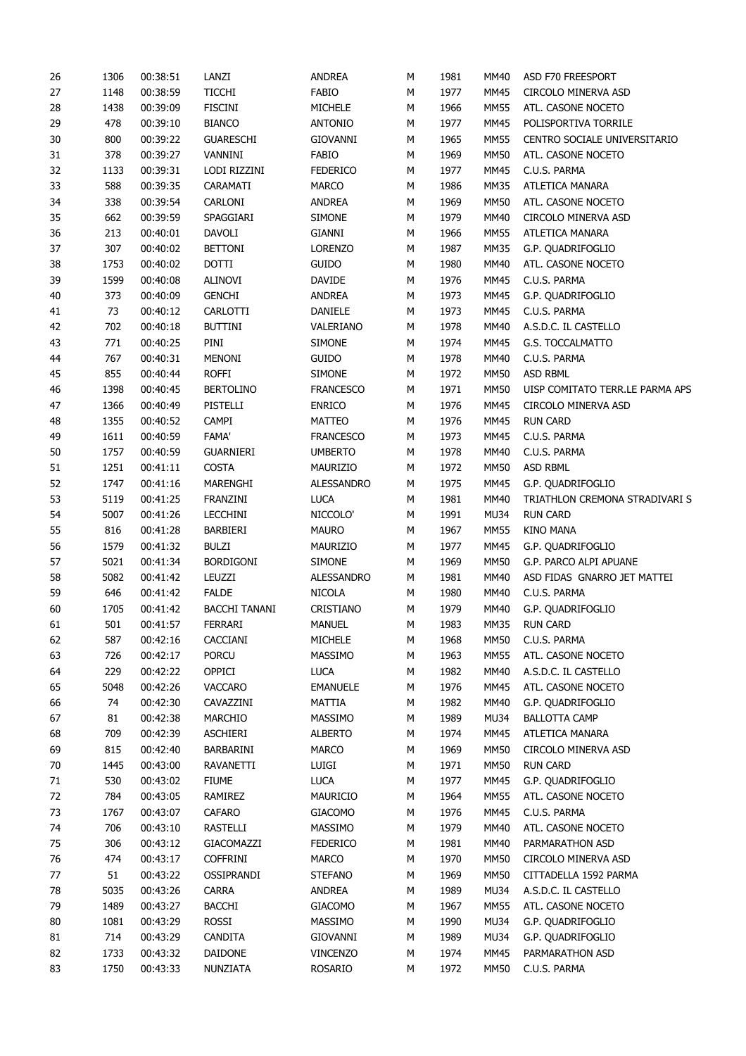| 26     | 1306 | 00:38:51 | LANZI                | <b>ANDREA</b>     | М | 1981 | MM40        | ASD F70 FREESPORT               |
|--------|------|----------|----------------------|-------------------|---|------|-------------|---------------------------------|
| 27     | 1148 | 00:38:59 | <b>TICCHI</b>        | <b>FABIO</b>      | М | 1977 | MM45        | CIRCOLO MINERVA ASD             |
| 28     | 1438 | 00:39:09 | <b>FISCINI</b>       | MICHELE           | М | 1966 | <b>MM55</b> | ATL. CASONE NOCETO              |
| 29     | 478  | 00:39:10 | <b>BIANCO</b>        | <b>ANTONIO</b>    | М | 1977 | <b>MM45</b> | POLISPORTIVA TORRILE            |
| $30\,$ | 800  | 00:39:22 | <b>GUARESCHI</b>     | <b>GIOVANNI</b>   | М | 1965 | MM55        | CENTRO SOCIALE UNIVERSITARIO    |
| 31     | 378  | 00:39:27 | VANNINI              | FABIO             | М | 1969 | <b>MM50</b> | ATL. CASONE NOCETO              |
| 32     | 1133 | 00:39:31 | LODI RIZZINI         | <b>FEDERICO</b>   | М | 1977 | <b>MM45</b> | C.U.S. PARMA                    |
| 33     | 588  | 00:39:35 | CARAMATI             | <b>MARCO</b>      | М | 1986 | <b>MM35</b> | ATLETICA MANARA                 |
| 34     | 338  | 00:39:54 | CARLONI              | <b>ANDREA</b>     | М | 1969 | MM50        | ATL. CASONE NOCETO              |
| 35     | 662  | 00:39:59 | SPAGGIARI            | <b>SIMONE</b>     | М | 1979 | MM40        | CIRCOLO MINERVA ASD             |
| 36     | 213  | 00:40:01 | DAVOLI               | GIANNI            | М | 1966 | MM55        | ATLETICA MANARA                 |
| 37     | 307  | 00:40:02 | <b>BETTONI</b>       | <b>LORENZO</b>    | М | 1987 | <b>MM35</b> | G.P. QUADRIFOGLIO               |
| 38     | 1753 | 00:40:02 | <b>DOTTI</b>         | GUIDO             | М | 1980 | MM40        | ATL. CASONE NOCETO              |
| 39     | 1599 | 00:40:08 | ALINOVI              | <b>DAVIDE</b>     | М | 1976 | MM45        | C.U.S. PARMA                    |
| 40     | 373  | 00:40:09 | <b>GENCHI</b>        | <b>ANDREA</b>     | М | 1973 | MM45        | G.P. QUADRIFOGLIO               |
| 41     | 73   | 00:40:12 | CARLOTTI             | DANIELE           | М | 1973 | MM45        | C.U.S. PARMA                    |
| 42     | 702  | 00:40:18 | <b>BUTTINI</b>       | VALERIANO         | М | 1978 | MM40        | A.S.D.C. IL CASTELLO            |
| 43     | 771  | 00:40:25 | PINI                 | <b>SIMONE</b>     | М | 1974 | <b>MM45</b> | G.S. TOCCALMATTO                |
| 44     | 767  | 00:40:31 | MENONI               | <b>GUIDO</b>      | М | 1978 | MM40        | C.U.S. PARMA                    |
| 45     |      |          |                      |                   |   |      |             | <b>ASD RBML</b>                 |
|        | 855  | 00:40:44 | <b>ROFFI</b>         | <b>SIMONE</b>     | М | 1972 | <b>MM50</b> |                                 |
| 46     | 1398 | 00:40:45 | <b>BERTOLINO</b>     | <b>FRANCESCO</b>  | М | 1971 | MM50        | UISP COMITATO TERR.LE PARMA APS |
| 47     | 1366 | 00:40:49 | PISTELLI             | <b>ENRICO</b>     | М | 1976 | MM45        | CIRCOLO MINERVA ASD             |
| 48     | 1355 | 00:40:52 | CAMPI                | <b>MATTEO</b>     | М | 1976 | MM45        | <b>RUN CARD</b>                 |
| 49     | 1611 | 00:40:59 | <b>FAMA'</b>         | <b>FRANCESCO</b>  | М | 1973 | <b>MM45</b> | C.U.S. PARMA                    |
| 50     | 1757 | 00:40:59 | <b>GUARNIERI</b>     | <b>UMBERTO</b>    | М | 1978 | MM40        | C.U.S. PARMA                    |
| 51     | 1251 | 00:41:11 | <b>COSTA</b>         | <b>MAURIZIO</b>   | М | 1972 | <b>MM50</b> | <b>ASD RBML</b>                 |
| 52     | 1747 | 00:41:16 | MARENGHI             | ALESSANDRO        | М | 1975 | MM45        | G.P. QUADRIFOGLIO               |
| 53     | 5119 | 00:41:25 | FRANZINI             | <b>LUCA</b>       | М | 1981 | MM40        | TRIATHLON CREMONA STRADIVARI S  |
| 54     | 5007 | 00:41:26 | <b>LECCHINI</b>      | NICCOLO'          | М | 1991 | MU34        | <b>RUN CARD</b>                 |
| 55     | 816  | 00:41:28 | BARBIERI             | <b>MAURO</b>      | М | 1967 | <b>MM55</b> | <b>KINO MANA</b>                |
| 56     | 1579 | 00:41:32 | <b>BULZI</b>         | MAURIZIO          | М | 1977 | <b>MM45</b> | G.P. QUADRIFOGLIO               |
| 57     | 5021 | 00:41:34 | <b>BORDIGONI</b>     | <b>SIMONE</b>     | М | 1969 | MM50        | G.P. PARCO ALPI APUANE          |
| 58     | 5082 | 00:41:42 | LEUZZI               | <b>ALESSANDRO</b> | М | 1981 | MM40        | ASD FIDAS GNARRO JET MATTEI     |
| 59     | 646  | 00:41:42 | <b>FALDE</b>         | <b>NICOLA</b>     | М | 1980 | MM40        | C.U.S. PARMA                    |
| 60     | 1705 | 00:41:42 | <b>BACCHI TANANI</b> | CRISTIANO         | М | 1979 | MM40        | G.P. QUADRIFOGLIO               |
| 61     | 501  | 00:41:57 | FERRARI              | <b>MANUEL</b>     | М | 1983 | <b>MM35</b> | <b>RUN CARD</b>                 |
| 62     | 587  | 00:42:16 | CACCIANI             | MICHELE           | М | 1968 | MM50        | C.U.S. PARMA                    |
| 63     | 726  | 00:42:17 | <b>PORCU</b>         | MASSIMO           | М | 1963 | <b>MM55</b> | ATL. CASONE NOCETO              |
| 64     | 229  | 00:42:22 | OPPICI               | <b>LUCA</b>       | М | 1982 | MM40        | A.S.D.C. IL CASTELLO            |
| 65     | 5048 | 00:42:26 | <b>VACCARO</b>       | <b>EMANUELE</b>   | М | 1976 | MM45        | ATL. CASONE NOCETO              |
| 66     | 74   | 00:42:30 | CAVAZZINI            | MATTIA            | М | 1982 | MM40        | G.P. QUADRIFOGLIO               |
| 67     | 81   | 00:42:38 | <b>MARCHIO</b>       | MASSIMO           | М | 1989 | <b>MU34</b> | <b>BALLOTTA CAMP</b>            |
| 68     | 709  | 00:42:39 | <b>ASCHIERI</b>      | <b>ALBERTO</b>    | М | 1974 | MM45        | ATLETICA MANARA                 |
| 69     | 815  | 00:42:40 | BARBARINI            | <b>MARCO</b>      | М | 1969 | <b>MM50</b> | CIRCOLO MINERVA ASD             |
| 70     | 1445 | 00:43:00 | RAVANETTI            | LUIGI             | М | 1971 | MM50        | <b>RUN CARD</b>                 |
| 71     | 530  | 00:43:02 | <b>FIUME</b>         | <b>LUCA</b>       | М | 1977 | <b>MM45</b> | G.P. QUADRIFOGLIO               |
|        | 784  |          | RAMIREZ              | MAURICIO          |   | 1964 | <b>MM55</b> | ATL. CASONE NOCETO              |
| 72     |      | 00:43:05 |                      |                   | М |      |             |                                 |
| 73     | 1767 | 00:43:07 | <b>CAFARO</b>        | <b>GIACOMO</b>    | М | 1976 | <b>MM45</b> | C.U.S. PARMA                    |
| 74     | 706  | 00:43:10 | RASTELLI             | MASSIMO           | М | 1979 | MM40        | ATL. CASONE NOCETO              |
| 75     | 306  | 00:43:12 | GIACOMAZZI           | <b>FEDERICO</b>   | М | 1981 | MM40        | PARMARATHON ASD                 |
| 76     | 474  | 00:43:17 | <b>COFFRINI</b>      | <b>MARCO</b>      | М | 1970 | MM50        | CIRCOLO MINERVA ASD             |
| 77     | 51   | 00:43:22 | OSSIPRANDI           | <b>STEFANO</b>    | М | 1969 | <b>MM50</b> | CITTADELLA 1592 PARMA           |
| 78     | 5035 | 00:43:26 | <b>CARRA</b>         | <b>ANDREA</b>     | М | 1989 | <b>MU34</b> | A.S.D.C. IL CASTELLO            |
| 79     | 1489 | 00:43:27 | <b>BACCHI</b>        | <b>GIACOMO</b>    | М | 1967 | <b>MM55</b> | ATL. CASONE NOCETO              |
| 80     | 1081 | 00:43:29 | Rossi                | MASSIMO           | М | 1990 | <b>MU34</b> | G.P. QUADRIFOGLIO               |
| 81     | 714  | 00:43:29 | CANDITA              | <b>GIOVANNI</b>   | М | 1989 | <b>MU34</b> | G.P. QUADRIFOGLIO               |
| 82     | 1733 | 00:43:32 | DAIDONE              | <b>VINCENZO</b>   | М | 1974 | MM45        | PARMARATHON ASD                 |
| 83     | 1750 | 00:43:33 | NUNZIATA             | <b>ROSARIO</b>    | М | 1972 | MM50        | C.U.S. PARMA                    |
|        |      |          |                      |                   |   |      |             |                                 |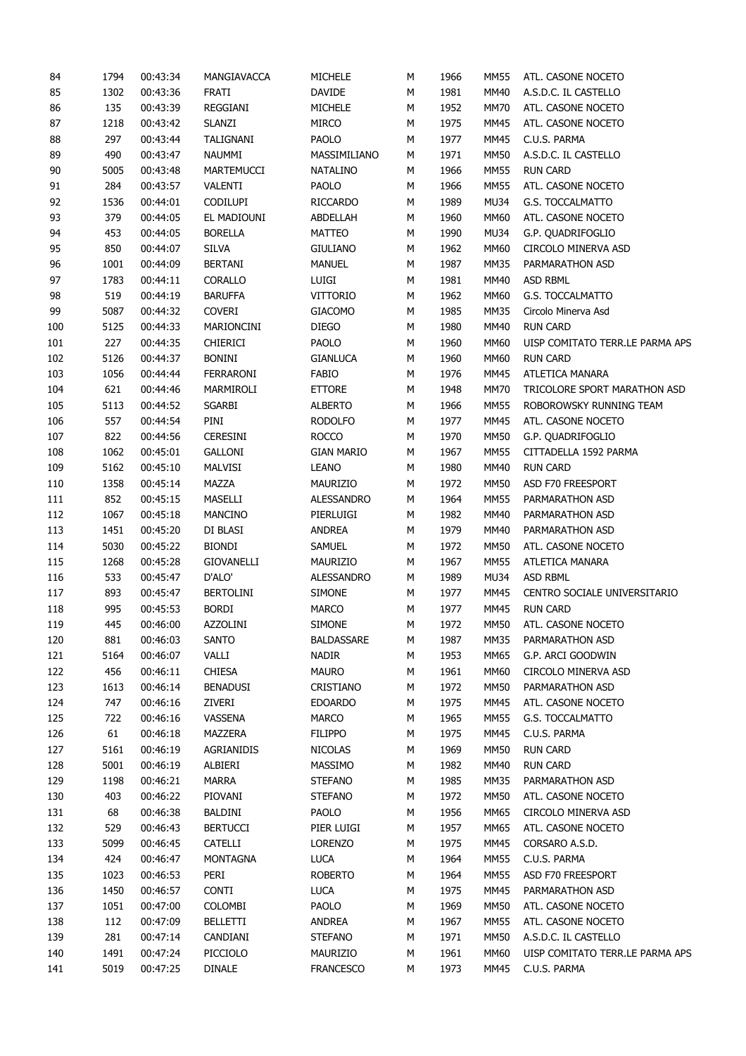| 84         | 1794 | 00:43:34 | MANGIAVACCA      | <b>MICHELE</b>    | М | 1966 | <b>MM55</b> | ATL. CASONE NOCETO              |
|------------|------|----------|------------------|-------------------|---|------|-------------|---------------------------------|
| 85         | 1302 | 00:43:36 | FRATI            | DAVIDE            | М | 1981 | MM40        | A.S.D.C. IL CASTELLO            |
| 86         | 135  | 00:43:39 | REGGIANI         | MICHELE           | М | 1952 | <b>MM70</b> | ATL. CASONE NOCETO              |
| 87         | 1218 | 00:43:42 | <b>SLANZI</b>    | MIRCO             | М | 1975 | MM45        | ATL. CASONE NOCETO              |
| 88         | 297  | 00:43:44 | TALIGNANI        | PAOLO             | M | 1977 | MM45        | C.U.S. PARMA                    |
| 89         | 490  | 00:43:47 | NAUMMI           | MASSIMILIANO      | М | 1971 | <b>MM50</b> | A.S.D.C. IL CASTELLO            |
| $90\,$     | 5005 | 00:43:48 | MARTEMUCCI       | NATALINO          | М | 1966 | <b>MM55</b> | <b>RUN CARD</b>                 |
| 91         | 284  | 00:43:57 | VALENTI          | PAOLO             | М | 1966 | <b>MM55</b> | ATL. CASONE NOCETO              |
| 92         | 1536 | 00:44:01 | <b>CODILUPI</b>  | <b>RICCARDO</b>   | М | 1989 | <b>MU34</b> | G.S. TOCCALMATTO                |
| 93         | 379  | 00:44:05 | EL MADIOUNI      | ABDELLAH          | М | 1960 | <b>MM60</b> | ATL. CASONE NOCETO              |
| 94         | 453  | 00:44:05 | <b>BORELLA</b>   | <b>MATTEO</b>     | М | 1990 | MU34        | G.P. QUADRIFOGLIO               |
| 95         | 850  | 00:44:07 | <b>SILVA</b>     | <b>GIULIANO</b>   | М | 1962 | MM60        | CIRCOLO MINERVA ASD             |
| 96         | 1001 | 00:44:09 | <b>BERTANI</b>   | <b>MANUEL</b>     | М | 1987 | <b>MM35</b> | PARMARATHON ASD                 |
| 97         | 1783 | 00:44:11 | CORALLO          | LUIGI             | М | 1981 | <b>MM40</b> | ASD RBML                        |
|            |      |          |                  |                   |   |      |             |                                 |
| 98         | 519  | 00:44:19 | <b>BARUFFA</b>   | <b>VITTORIO</b>   | М | 1962 | MM60        | G.S. TOCCALMATTO                |
| 99         | 5087 | 00:44:32 | <b>COVERI</b>    | <b>GIACOMO</b>    | М | 1985 | <b>MM35</b> | Circolo Minerva Asd             |
| 100        | 5125 | 00:44:33 | MARIONCINI       | <b>DIEGO</b>      | М | 1980 | <b>MM40</b> | <b>RUN CARD</b>                 |
| 101        | 227  | 00:44:35 | <b>CHIERICI</b>  | PAOLO             | М | 1960 | <b>MM60</b> | UISP COMITATO TERR.LE PARMA APS |
| 102        | 5126 | 00:44:37 | <b>BONINI</b>    | <b>GIANLUCA</b>   | М | 1960 | <b>MM60</b> | <b>RUN CARD</b>                 |
| 103        | 1056 | 00:44:44 | FERRARONI        | <b>FABIO</b>      | М | 1976 | MM45        | ATLETICA MANARA                 |
| 104        | 621  | 00:44:46 | MARMIROLI        | <b>ETTORE</b>     | М | 1948 | <b>MM70</b> | TRICOLORE SPORT MARATHON ASD    |
| 105        | 5113 | 00:44:52 | SGARBI           | <b>ALBERTO</b>    | М | 1966 | <b>MM55</b> | ROBOROWSKY RUNNING TEAM         |
| 106        | 557  | 00:44:54 | PINI             | <b>RODOLFO</b>    | М | 1977 | MM45        | ATL. CASONE NOCETO              |
| 107        | 822  | 00:44:56 | <b>CERESINI</b>  | <b>ROCCO</b>      | М | 1970 | <b>MM50</b> | G.P. QUADRIFOGLIO               |
| 108        | 1062 | 00:45:01 | <b>GALLONI</b>   | <b>GIAN MARIO</b> | М | 1967 | <b>MM55</b> | CITTADELLA 1592 PARMA           |
| 109        | 5162 | 00:45:10 | MALVISI          | <b>LEANO</b>      | М | 1980 | <b>MM40</b> | <b>RUN CARD</b>                 |
| 110        | 1358 | 00:45:14 | MAZZA            | MAURIZIO          | М | 1972 | <b>MM50</b> | ASD F70 FREESPORT               |
| 111        | 852  | 00:45:15 | MASELLI          | ALESSANDRO        | М | 1964 | <b>MM55</b> | PARMARATHON ASD                 |
| 112        | 1067 | 00:45:18 | <b>MANCINO</b>   | PIERLUIGI         | М | 1982 | MM40        | PARMARATHON ASD                 |
| 113        | 1451 | 00:45:20 | DI BLASI         | <b>ANDREA</b>     | М | 1979 | MM40        | PARMARATHON ASD                 |
| 114        | 5030 | 00:45:22 | <b>BIONDI</b>    | <b>SAMUEL</b>     | М | 1972 | <b>MM50</b> | ATL. CASONE NOCETO              |
| 115        | 1268 | 00:45:28 | GIOVANELLI       | MAURIZIO          | М | 1967 | <b>MM55</b> | ATLETICA MANARA                 |
| 116        | 533  | 00:45:47 | D'ALO'           | <b>ALESSANDRO</b> | М | 1989 | MU34        | ASD RBML                        |
| 117        | 893  | 00:45:47 | <b>BERTOLINI</b> | <b>SIMONE</b>     | М | 1977 | MM45        | CENTRO SOCIALE UNIVERSITARIO    |
| 118        | 995  | 00:45:53 | <b>BORDI</b>     | <b>MARCO</b>      | М | 1977 | MM45        | <b>RUN CARD</b>                 |
| 119        | 445  | 00:46:00 | AZZOLINI         | <b>SIMONE</b>     | M | 1972 | <b>MM50</b> | ATL. CASONE NOCETO              |
| 120        | 881  | 00:46:03 | <b>SANTO</b>     | <b>BALDASSARE</b> | М | 1987 | <b>MM35</b> | PARMARATHON ASD                 |
| 121        | 5164 | 00:46:07 | VALLI            | NADIR             | М | 1953 | MM65        | G.P. ARCI GOODWIN               |
| 122        | 456  | 00:46:11 | <b>CHIESA</b>    | <b>MAURO</b>      | М | 1961 | <b>MM60</b> | CIRCOLO MINERVA ASD             |
| 123        | 1613 | 00:46:14 | <b>BENADUSI</b>  | CRISTIANO         | М | 1972 | <b>MM50</b> | PARMARATHON ASD                 |
| 124        | 747  | 00:46:16 | ZIVERI           | <b>EDOARDO</b>    | М | 1975 | MM45        | ATL. CASONE NOCETO              |
| 125        | 722  | 00:46:16 | VASSENA          | <b>MARCO</b>      | М | 1965 | <b>MM55</b> | G.S. TOCCALMATTO                |
|            | 61   | 00:46:18 | MAZZERA          | <b>FILIPPO</b>    |   | 1975 | MM45        | C.U.S. PARMA                    |
| 126<br>127 | 5161 |          | AGRIANIDIS       | <b>NICOLAS</b>    | М | 1969 | <b>MM50</b> | <b>RUN CARD</b>                 |
|            |      | 00:46:19 |                  |                   | М |      |             |                                 |
| 128        | 5001 | 00:46:19 | ALBIERI          | MASSIMO           | М | 1982 | <b>MM40</b> | <b>RUN CARD</b>                 |
| 129        | 1198 | 00:46:21 | MARRA            | <b>STEFANO</b>    | М | 1985 | <b>MM35</b> | PARMARATHON ASD                 |
| 130        | 403  | 00:46:22 | PIOVANI          | <b>STEFANO</b>    | М | 1972 | <b>MM50</b> | ATL. CASONE NOCETO              |
| 131        | 68   | 00:46:38 | BALDINI          | PAOLO             | М | 1956 | MM65        | CIRCOLO MINERVA ASD             |
| 132        | 529  | 00:46:43 | <b>BERTUCCI</b>  | PIER LUIGI        | М | 1957 | MM65        | ATL. CASONE NOCETO              |
| 133        | 5099 | 00:46:45 | CATELLI          | <b>LORENZO</b>    | М | 1975 | MM45        | CORSARO A.S.D.                  |
| 134        | 424  | 00:46:47 | <b>MONTAGNA</b>  | <b>LUCA</b>       | М | 1964 | <b>MM55</b> | C.U.S. PARMA                    |
| 135        | 1023 | 00:46:53 | PERI             | <b>ROBERTO</b>    | М | 1964 | <b>MM55</b> | ASD F70 FREESPORT               |
| 136        | 1450 | 00:46:57 | <b>CONTI</b>     | <b>LUCA</b>       | М | 1975 | MM45        | PARMARATHON ASD                 |
| 137        | 1051 | 00:47:00 | COLOMBI          | PAOLO             | М | 1969 | <b>MM50</b> | ATL. CASONE NOCETO              |
| 138        | 112  | 00:47:09 | <b>BELLETTI</b>  | ANDREA            | М | 1967 | <b>MM55</b> | ATL. CASONE NOCETO              |
| 139        | 281  | 00:47:14 | CANDIANI         | <b>STEFANO</b>    | М | 1971 | <b>MM50</b> | A.S.D.C. IL CASTELLO            |
| 140        | 1491 | 00:47:24 | PICCIOLO         | MAURIZIO          | М | 1961 | MM60        | UISP COMITATO TERR.LE PARMA APS |
| 141        | 5019 | 00:47:25 | <b>DINALE</b>    | <b>FRANCESCO</b>  | М | 1973 | MM45        | C.U.S. PARMA                    |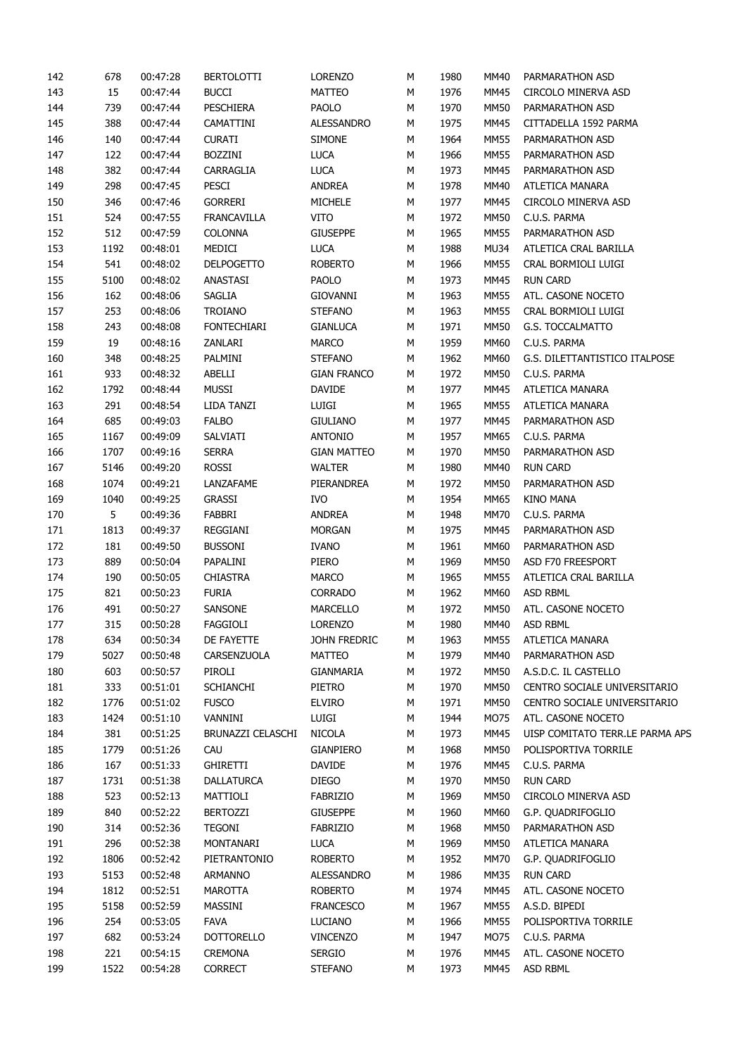| 142 | 678  | 00:47:28 | <b>BERTOLOTTI</b>  | <b>LORENZO</b>     | М      | 1980 | MM40        | PARMARATHON ASD                 |
|-----|------|----------|--------------------|--------------------|--------|------|-------------|---------------------------------|
| 143 | 15   | 00:47:44 | <b>BUCCI</b>       | MATTEO             | М      | 1976 | MM45        | CIRCOLO MINERVA ASD             |
| 144 | 739  | 00:47:44 | PESCHIERA          | PAOLO              | М      | 1970 | <b>MM50</b> | PARMARATHON ASD                 |
| 145 | 388  | 00:47:44 | CAMATTINI          | ALESSANDRO         | М      | 1975 | MM45        | CITTADELLA 1592 PARMA           |
| 146 | 140  | 00:47:44 | <b>CURATI</b>      | <b>SIMONE</b>      | М      | 1964 | <b>MM55</b> | PARMARATHON ASD                 |
| 147 | 122  | 00:47:44 | <b>BOZZINI</b>     | <b>LUCA</b>        | М      | 1966 | <b>MM55</b> | PARMARATHON ASD                 |
| 148 | 382  | 00:47:44 | CARRAGLIA          | <b>LUCA</b>        | М      | 1973 | <b>MM45</b> | PARMARATHON ASD                 |
| 149 | 298  | 00:47:45 | PESCI              | ANDREA             | М      | 1978 | MM40        | ATLETICA MANARA                 |
| 150 | 346  | 00:47:46 | <b>GORRERI</b>     | MICHELE            | М      | 1977 | <b>MM45</b> | CIRCOLO MINERVA ASD             |
| 151 | 524  | 00:47:55 | <b>FRANCAVILLA</b> | <b>VITO</b>        | М      | 1972 | <b>MM50</b> | C.U.S. PARMA                    |
| 152 | 512  | 00:47:59 | <b>COLONNA</b>     | <b>GIUSEPPE</b>    | М      | 1965 | <b>MM55</b> | PARMARATHON ASD                 |
| 153 | 1192 | 00:48:01 | MEDICI             | <b>LUCA</b>        | М      | 1988 | MU34        | ATLETICA CRAL BARILLA           |
| 154 | 541  | 00:48:02 | <b>DELPOGETTO</b>  | <b>ROBERTO</b>     | М      | 1966 | <b>MM55</b> | CRAL BORMIOLI LUIGI             |
| 155 | 5100 | 00:48:02 | ANASTASI           | <b>PAOLO</b>       | М      | 1973 | <b>MM45</b> | <b>RUN CARD</b>                 |
| 156 | 162  | 00:48:06 | SAGLIA             | GIOVANNI           | М      | 1963 | <b>MM55</b> | ATL. CASONE NOCETO              |
| 157 | 253  | 00:48:06 | <b>TROIANO</b>     | <b>STEFANO</b>     | М      | 1963 | <b>MM55</b> | CRAL BORMIOLI LUIGI             |
| 158 | 243  | 00:48:08 | <b>FONTECHIARI</b> | <b>GIANLUCA</b>    | М      | 1971 | <b>MM50</b> | G.S. TOCCALMATTO                |
| 159 | 19   | 00:48:16 | ZANLARI            | <b>MARCO</b>       | М      | 1959 | MM60        | C.U.S. PARMA                    |
| 160 | 348  | 00:48:25 | PALMINI            | <b>STEFANO</b>     | М      | 1962 | <b>MM60</b> | G.S. DILETTANTISTICO ITALPOSE   |
| 161 | 933  | 00:48:32 | ABELLI             | <b>GIAN FRANCO</b> | М      | 1972 | <b>MM50</b> | C.U.S. PARMA                    |
| 162 | 1792 | 00:48:44 | <b>MUSSI</b>       | DAVIDE             | М      | 1977 | MM45        | ATLETICA MANARA                 |
| 163 | 291  | 00:48:54 | LIDA TANZI         | LUIGI              | М      | 1965 | <b>MM55</b> | ATLETICA MANARA                 |
| 164 | 685  | 00:49:03 | <b>FALBO</b>       | <b>GIULIANO</b>    | М      | 1977 | MM45        | PARMARATHON ASD                 |
| 165 | 1167 | 00:49:09 | SALVIATI           | <b>ANTONIO</b>     | М      | 1957 | MM65        | C.U.S. PARMA                    |
| 166 | 1707 | 00:49:16 | <b>SERRA</b>       | <b>GIAN MATTEO</b> | М      | 1970 | <b>MM50</b> | PARMARATHON ASD                 |
| 167 | 5146 | 00:49:20 | ROSSI              | <b>WALTER</b>      | М      | 1980 | MM40        | <b>RUN CARD</b>                 |
| 168 | 1074 | 00:49:21 | LANZAFAME          | PIERANDREA         | М      | 1972 | <b>MM50</b> | PARMARATHON ASD                 |
| 169 | 1040 | 00:49:25 | <b>GRASSI</b>      | <b>IVO</b>         | М      | 1954 | MM65        | <b>KINO MANA</b>                |
| 170 | 5    | 00:49:36 | FABBRI             | <b>ANDREA</b>      | М      | 1948 | <b>MM70</b> | C.U.S. PARMA                    |
| 171 | 1813 | 00:49:37 | REGGIANI           | <b>MORGAN</b>      | М      | 1975 | <b>MM45</b> | PARMARATHON ASD                 |
| 172 | 181  | 00:49:50 | <b>BUSSONI</b>     | <b>IVANO</b>       | М      | 1961 | MM60        | PARMARATHON ASD                 |
| 173 | 889  | 00:50:04 | PAPALINI           | PIERO              | М      | 1969 | <b>MM50</b> | ASD F70 FREESPORT               |
| 174 | 190  | 00:50:05 | <b>CHIASTRA</b>    | <b>MARCO</b>       |        | 1965 | <b>MM55</b> | ATLETICA CRAL BARILLA           |
| 175 | 821  | 00:50:23 | <b>FURIA</b>       | CORRADO            | М<br>М | 1962 | MM60        | ASD RBML                        |
|     |      |          |                    |                    |        |      |             |                                 |
| 176 | 491  | 00:50:27 | SANSONE            | MARCELLO           | М      | 1972 | <b>MM50</b> | ATL. CASONE NOCETO              |
| 177 | 315  | 00:50:28 | FAGGIOLI           | <b>LORENZO</b>     | М      | 1980 | MM40        | <b>ASD RBML</b>                 |
| 178 | 634  | 00:50:34 | DE FAYETTE         | JOHN FREDRIC       | М      | 1963 | <b>MM55</b> | ATLETICA MANARA                 |
| 179 | 5027 | 00:50:48 | CARSENZUOLA        | <b>MATTEO</b>      | М      | 1979 | MM40        | PARMARATHON ASD                 |
| 180 | 603  | 00:50:57 | PIROLI             | GIANMARIA          | М      | 1972 | MM50        | A.S.D.C. IL CASTELLO            |
| 181 | 333  | 00:51:01 | <b>SCHIANCHI</b>   | PIETRO             | М      | 1970 | MM50        | CENTRO SOCIALE UNIVERSITARIO    |
| 182 | 1776 | 00:51:02 | <b>FUSCO</b>       | <b>ELVIRO</b>      | М      | 1971 | <b>MM50</b> | CENTRO SOCIALE UNIVERSITARIO    |
| 183 | 1424 | 00:51:10 | VANNINI            | LUIGI              | М      | 1944 | MO75        | ATL. CASONE NOCETO              |
| 184 | 381  | 00:51:25 | BRUNAZZI CELASCHI  | NICOLA             | М      | 1973 | MM45        | UISP COMITATO TERR.LE PARMA APS |
| 185 | 1779 | 00:51:26 | CAU                | <b>GIANPIERO</b>   | М      | 1968 | <b>MM50</b> | POLISPORTIVA TORRILE            |
| 186 | 167  | 00:51:33 | <b>GHIRETTI</b>    | DAVIDE             | М      | 1976 | <b>MM45</b> | C.U.S. PARMA                    |
| 187 | 1731 | 00:51:38 | <b>DALLATURCA</b>  | <b>DIEGO</b>       | М      | 1970 | <b>MM50</b> | <b>RUN CARD</b>                 |
| 188 | 523  | 00:52:13 | MATTIOLI           | <b>FABRIZIO</b>    | М      | 1969 | <b>MM50</b> | CIRCOLO MINERVA ASD             |
| 189 | 840  | 00:52:22 | <b>BERTOZZI</b>    | <b>GIUSEPPE</b>    | М      | 1960 | MM60        | G.P. QUADRIFOGLIO               |
| 190 | 314  | 00:52:36 | <b>TEGONI</b>      | <b>FABRIZIO</b>    | М      | 1968 | MM50        | PARMARATHON ASD                 |
| 191 | 296  | 00:52:38 | MONTANARI          | <b>LUCA</b>        | М      | 1969 | <b>MM50</b> | ATLETICA MANARA                 |
| 192 | 1806 | 00:52:42 | PIETRANTONIO       | <b>ROBERTO</b>     | М      | 1952 | <b>MM70</b> | G.P. QUADRIFOGLIO               |
| 193 | 5153 | 00:52:48 | <b>ARMANNO</b>     | ALESSANDRO         | М      | 1986 | <b>MM35</b> | <b>RUN CARD</b>                 |
| 194 | 1812 | 00:52:51 | <b>MAROTTA</b>     | <b>ROBERTO</b>     | М      | 1974 | <b>MM45</b> | ATL. CASONE NOCETO              |
| 195 | 5158 | 00:52:59 | MASSINI            | <b>FRANCESCO</b>   | М      | 1967 | <b>MM55</b> | A.S.D. BIPEDI                   |
| 196 | 254  | 00:53:05 | <b>FAVA</b>        | LUCIANO            | М      | 1966 | <b>MM55</b> | POLISPORTIVA TORRILE            |
| 197 | 682  | 00:53:24 | <b>DOTTORELLO</b>  | <b>VINCENZO</b>    | М      | 1947 | MO75        | C.U.S. PARMA                    |
| 198 | 221  | 00:54:15 | CREMONA            | <b>SERGIO</b>      | М      | 1976 | MM45        | ATL. CASONE NOCETO              |
| 199 | 1522 | 00:54:28 | <b>CORRECT</b>     | <b>STEFANO</b>     | М      | 1973 | MM45        | ASD RBML                        |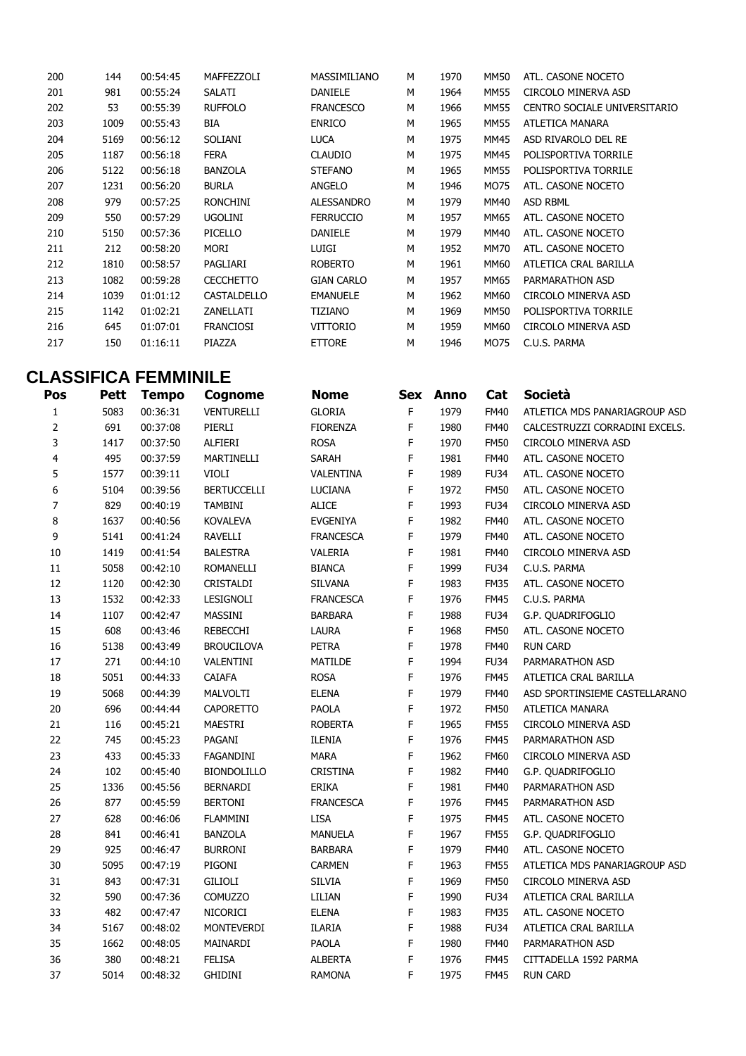| 200 | 144  | 00:54:45 | MAFFEZZOLI       | MASSIMILIANO      | М | 1970 | MM50 | ATL. CASONE NOCETO           |
|-----|------|----------|------------------|-------------------|---|------|------|------------------------------|
| 201 | 981  | 00:55:24 | <b>SALATI</b>    | <b>DANIELE</b>    | М | 1964 | MM55 | CIRCOLO MINERVA ASD          |
| 202 | 53   | 00:55:39 | <b>RUFFOLO</b>   | <b>FRANCESCO</b>  | м | 1966 | MM55 | CENTRO SOCIALE UNIVERSITARIO |
| 203 | 1009 | 00:55:43 | BIA              | <b>ENRICO</b>     | М | 1965 | MM55 | ATLETICA MANARA              |
| 204 | 5169 | 00:56:12 | <b>SOLIANI</b>   | <b>LUCA</b>       | M | 1975 | MM45 | ASD RIVAROLO DEL RE          |
| 205 | 1187 | 00:56:18 | <b>FERA</b>      | <b>CLAUDIO</b>    | М | 1975 | MM45 | POLISPORTIVA TORRILE         |
| 206 | 5122 | 00:56:18 | <b>BANZOLA</b>   | <b>STEFANO</b>    | м | 1965 | MM55 | POLISPORTIVA TORRILE         |
| 207 | 1231 | 00:56:20 | <b>BURLA</b>     | ANGELO            | M | 1946 | MO75 | ATL. CASONE NOCETO           |
| 208 | 979  | 00:57:25 | <b>RONCHINI</b>  | <b>ALESSANDRO</b> | м | 1979 | MM40 | <b>ASD RBML</b>              |
| 209 | 550  | 00:57:29 | <b>UGOLINI</b>   | <b>FERRUCCIO</b>  | м | 1957 | MM65 | ATL. CASONE NOCETO           |
| 210 | 5150 | 00:57:36 | PICELLO          | <b>DANIELE</b>    | M | 1979 | MM40 | ATL. CASONE NOCETO           |
| 211 | 212  | 00:58:20 | MORI             | LUIGI             | M | 1952 | MM70 | ATL. CASONE NOCETO           |
| 212 | 1810 | 00:58:57 | PAGLIARI         | <b>ROBERTO</b>    | м | 1961 | MM60 | ATLETICA CRAL BARILLA        |
| 213 | 1082 | 00:59:28 | <b>CECCHETTO</b> | <b>GIAN CARLO</b> | М | 1957 | MM65 | PARMARATHON ASD              |
| 214 | 1039 | 01:01:12 | CASTALDELLO      | <b>EMANUELE</b>   | м | 1962 | MM60 | CIRCOLO MINERVA ASD          |
| 215 | 1142 | 01:02:21 | ZANELLATI        | TIZIANO           | M | 1969 | MM50 | POLISPORTIVA TORRILE         |
| 216 | 645  | 01:07:01 | <b>FRANCIOSI</b> | <b>VITTORIO</b>   | М | 1959 | MM60 | CIRCOLO MINERVA ASD          |
| 217 | 150  | 01:16:11 | PIAZZA           | <b>ETTORE</b>     | M | 1946 | MO75 | C.U.S. PARMA                 |
|     |      |          |                  |                   |   |      |      |                              |

## **CLASSIFICA FEMMINILE**

| Pos                     | Pett | <b>Tempo</b> | Cognome            | <b>Nome</b>      |             | Sex Anno | Cat         | Società                        |
|-------------------------|------|--------------|--------------------|------------------|-------------|----------|-------------|--------------------------------|
| $\mathbf{1}$            | 5083 | 00:36:31     | <b>VENTURELLI</b>  | <b>GLORIA</b>    | F           | 1979     | <b>FM40</b> | ATLETICA MDS PANARIAGROUP ASD  |
| $\overline{2}$          | 691  | 00:37:08     | PIERLI             | <b>FIORENZA</b>  | F           | 1980     | <b>FM40</b> | CALCESTRUZZI CORRADINI EXCELS. |
| 3                       | 1417 | 00:37:50     | ALFIERI            | <b>ROSA</b>      | F           | 1970     | <b>FM50</b> | CIRCOLO MINERVA ASD            |
| $\overline{\mathbf{4}}$ | 495  | 00:37:59     | MARTINELLI         | SARAH            | F           | 1981     | <b>FM40</b> | ATL. CASONE NOCETO             |
| 5                       | 1577 | 00:39:11     | VIOLI              | VALENTINA        | F           | 1989     | <b>FU34</b> | ATL. CASONE NOCETO             |
| 6                       | 5104 | 00:39:56     | <b>BERTUCCELLI</b> | <b>LUCIANA</b>   | F           | 1972     | <b>FM50</b> | ATL. CASONE NOCETO             |
| 7                       | 829  | 00:40:19     | <b>TAMBINI</b>     | <b>ALICE</b>     | F           | 1993     | <b>FU34</b> | CIRCOLO MINERVA ASD            |
| 8                       | 1637 | 00:40:56     | <b>KOVALEVA</b>    | EVGENIYA         | F           | 1982     | <b>FM40</b> | ATL. CASONE NOCETO             |
| 9                       | 5141 | 00:41:24     | RAVELLI            | <b>FRANCESCA</b> | F           | 1979     | <b>FM40</b> | ATL. CASONE NOCETO             |
| 10                      | 1419 | 00:41:54     | <b>BALESTRA</b>    | VALERIA          | F           | 1981     | <b>FM40</b> | CIRCOLO MINERVA ASD            |
| $11\,$                  | 5058 | 00:42:10     | <b>ROMANELLI</b>   | <b>BIANCA</b>    | F           | 1999     | <b>FU34</b> | C.U.S. PARMA                   |
| 12                      | 1120 | 00:42:30     | CRISTALDI          | SILVANA          | F           | 1983     | <b>FM35</b> | ATL. CASONE NOCETO             |
| 13                      | 1532 | 00:42:33     | LESIGNOLI          | <b>FRANCESCA</b> | F           | 1976     | <b>FM45</b> | C.U.S. PARMA                   |
| 14                      | 1107 | 00:42:47     | MASSINI            | <b>BARBARA</b>   | F           | 1988     | <b>FU34</b> | G.P. QUADRIFOGLIO              |
| 15                      | 608  | 00:43:46     | <b>REBECCHI</b>    | LAURA            | F           | 1968     | <b>FM50</b> | ATL. CASONE NOCETO             |
| 16                      | 5138 | 00:43:49     | <b>BROUCILOVA</b>  | <b>PETRA</b>     | F           | 1978     | <b>FM40</b> | <b>RUN CARD</b>                |
| $17\,$                  | 271  | 00:44:10     | VALENTINI          | MATILDE          | $\mathsf F$ | 1994     | <b>FU34</b> | PARMARATHON ASD                |
| $18\,$                  | 5051 | 00:44:33     | CAIAFA             | <b>ROSA</b>      | F           | 1976     | <b>FM45</b> | ATLETICA CRAL BARILLA          |
| 19                      | 5068 | 00:44:39     | <b>MALVOLTI</b>    | <b>ELENA</b>     | $\mathsf F$ | 1979     | <b>FM40</b> | ASD SPORTINSIEME CASTELLARANO  |
| 20                      | 696  | 00:44:44     | <b>CAPORETTO</b>   | PAOLA            | F           | 1972     | <b>FM50</b> | ATLETICA MANARA                |
| $21\,$                  | 116  | 00:45:21     | MAESTRI            | <b>ROBERTA</b>   | F           | 1965     | <b>FM55</b> | CIRCOLO MINERVA ASD            |
| 22                      | 745  | 00:45:23     | PAGANI             | ILENIA           | $\mathsf F$ | 1976     | <b>FM45</b> | PARMARATHON ASD                |
| 23                      | 433  | 00:45:33     | FAGANDINI          | <b>MARA</b>      | F           | 1962     | <b>FM60</b> | CIRCOLO MINERVA ASD            |
| 24                      | 102  | 00:45:40     | <b>BIONDOLILLO</b> | CRISTINA         | F           | 1982     | <b>FM40</b> | G.P. QUADRIFOGLIO              |
| 25                      | 1336 | 00:45:56     | <b>BERNARDI</b>    | ERIKA            | F           | 1981     | <b>FM40</b> | PARMARATHON ASD                |
| 26                      | 877  | 00:45:59     | <b>BERTONI</b>     | <b>FRANCESCA</b> | $\mathsf F$ | 1976     | <b>FM45</b> | PARMARATHON ASD                |
| 27                      | 628  | 00:46:06     | <b>FLAMMINI</b>    | <b>LISA</b>      | F           | 1975     | <b>FM45</b> | ATL. CASONE NOCETO             |
| 28                      | 841  | 00:46:41     | <b>BANZOLA</b>     | <b>MANUELA</b>   | F           | 1967     | <b>FM55</b> | G.P. QUADRIFOGLIO              |
| 29                      | 925  | 00:46:47     | <b>BURRONI</b>     | <b>BARBARA</b>   | F           | 1979     | <b>FM40</b> | ATL. CASONE NOCETO             |
| 30                      | 5095 | 00:47:19     | PIGONI             | <b>CARMEN</b>    | F           | 1963     | <b>FM55</b> | ATLETICA MDS PANARIAGROUP ASD  |
| 31                      | 843  | 00:47:31     | GILIOLI            | <b>SILVIA</b>    | F           | 1969     | <b>FM50</b> | CIRCOLO MINERVA ASD            |
| 32                      | 590  | 00:47:36     | <b>COMUZZO</b>     | LILIAN           | F           | 1990     | <b>FU34</b> | ATLETICA CRAL BARILLA          |
| 33                      | 482  | 00:47:47     | NICORICI           | <b>ELENA</b>     | F           | 1983     | <b>FM35</b> | ATL. CASONE NOCETO             |
| 34                      | 5167 | 00:48:02     | <b>MONTEVERDI</b>  | ILARIA           | F           | 1988     | <b>FU34</b> | ATLETICA CRAL BARILLA          |
| 35                      | 1662 | 00:48:05     | MAINARDI           | PAOLA            | F           | 1980     | <b>FM40</b> | PARMARATHON ASD                |
| 36                      | 380  | 00:48:21     | <b>FELISA</b>      | ALBERTA          | F           | 1976     | <b>FM45</b> | CITTADELLA 1592 PARMA          |
| 37                      | 5014 | 00:48:32     | <b>GHIDINI</b>     | <b>RAMONA</b>    | F           | 1975     | <b>FM45</b> | <b>RUN CARD</b>                |
|                         |      |              |                    |                  |             |          |             |                                |